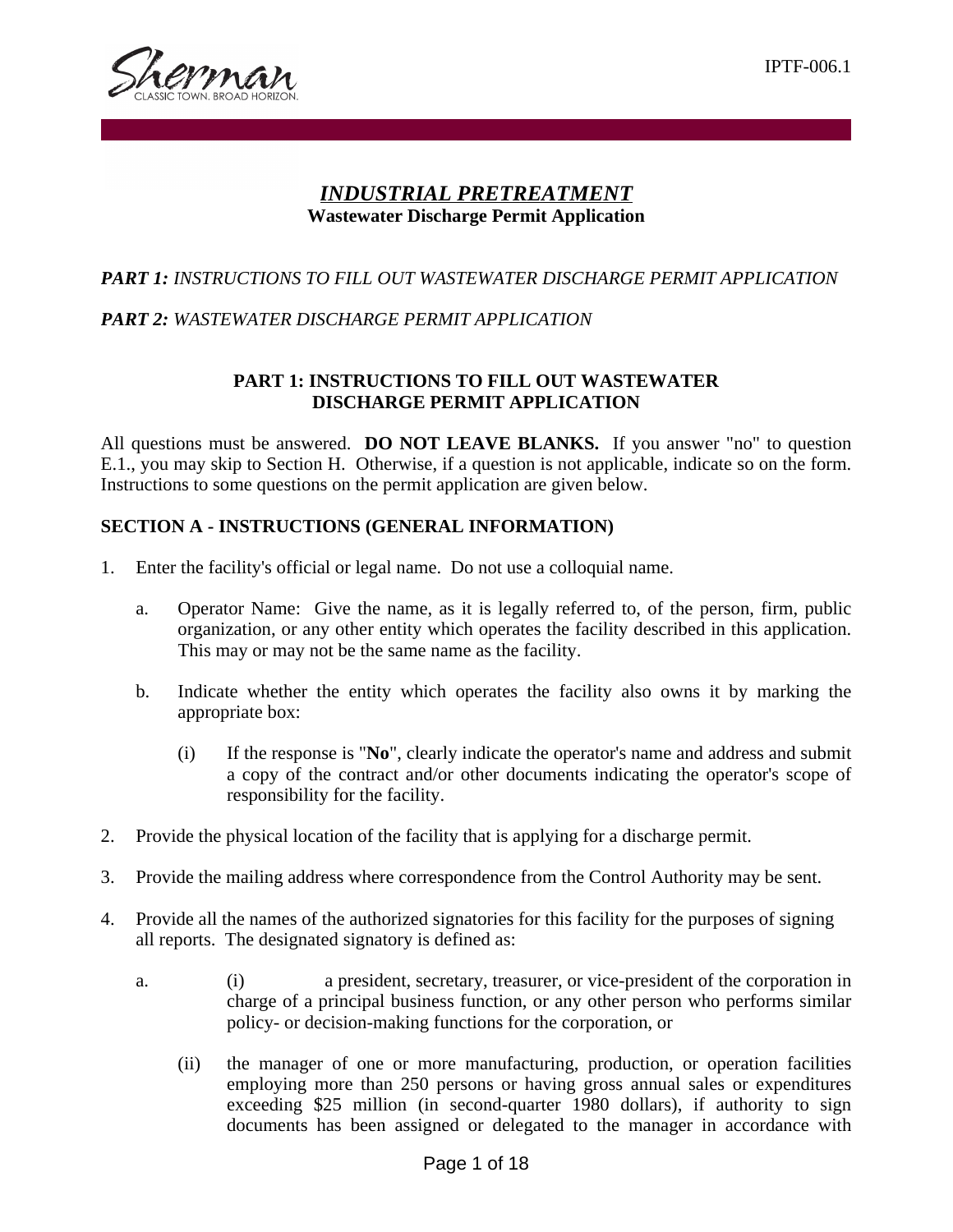

# *INDUSTRIAL PRETREATMENT* **Wastewater Discharge Permit Application**

# *PART 1: INSTRUCTIONS TO FILL OUT WASTEWATER DISCHARGE PERMIT APPLICATION*

## *PART 2: WASTEWATER DISCHARGE PERMIT APPLICATION*

## **PART 1: INSTRUCTIONS TO FILL OUT WASTEWATER DISCHARGE PERMIT APPLICATION**

All questions must be answered. **DO NOT LEAVE BLANKS.** If you answer "no" to question E.1., you may skip to Section H. Otherwise, if a question is not applicable, indicate so on the form. Instructions to some questions on the permit application are given below.

## **SECTION A - INSTRUCTIONS (GENERAL INFORMATION)**

- 1. Enter the facility's official or legal name. Do not use a colloquial name.
	- a. Operator Name: Give the name, as it is legally referred to, of the person, firm, public organization, or any other entity which operates the facility described in this application. This may or may not be the same name as the facility.
	- b. Indicate whether the entity which operates the facility also owns it by marking the appropriate box:
		- (i) If the response is "**No**", clearly indicate the operator's name and address and submit a copy of the contract and/or other documents indicating the operator's scope of responsibility for the facility.
- 2. Provide the physical location of the facility that is applying for a discharge permit.
- 3. Provide the mailing address where correspondence from the Control Authority may be sent.
- 4. Provide all the names of the authorized signatories for this facility for the purposes of signing all reports. The designated signatory is defined as:
	- a. (i) a president, secretary, treasurer, or vice-president of the corporation in charge of a principal business function, or any other person who performs similar policy- or decision-making functions for the corporation, or
		- (ii) the manager of one or more manufacturing, production, or operation facilities employing more than 250 persons or having gross annual sales or expenditures exceeding \$25 million (in second-quarter 1980 dollars), if authority to sign documents has been assigned or delegated to the manager in accordance with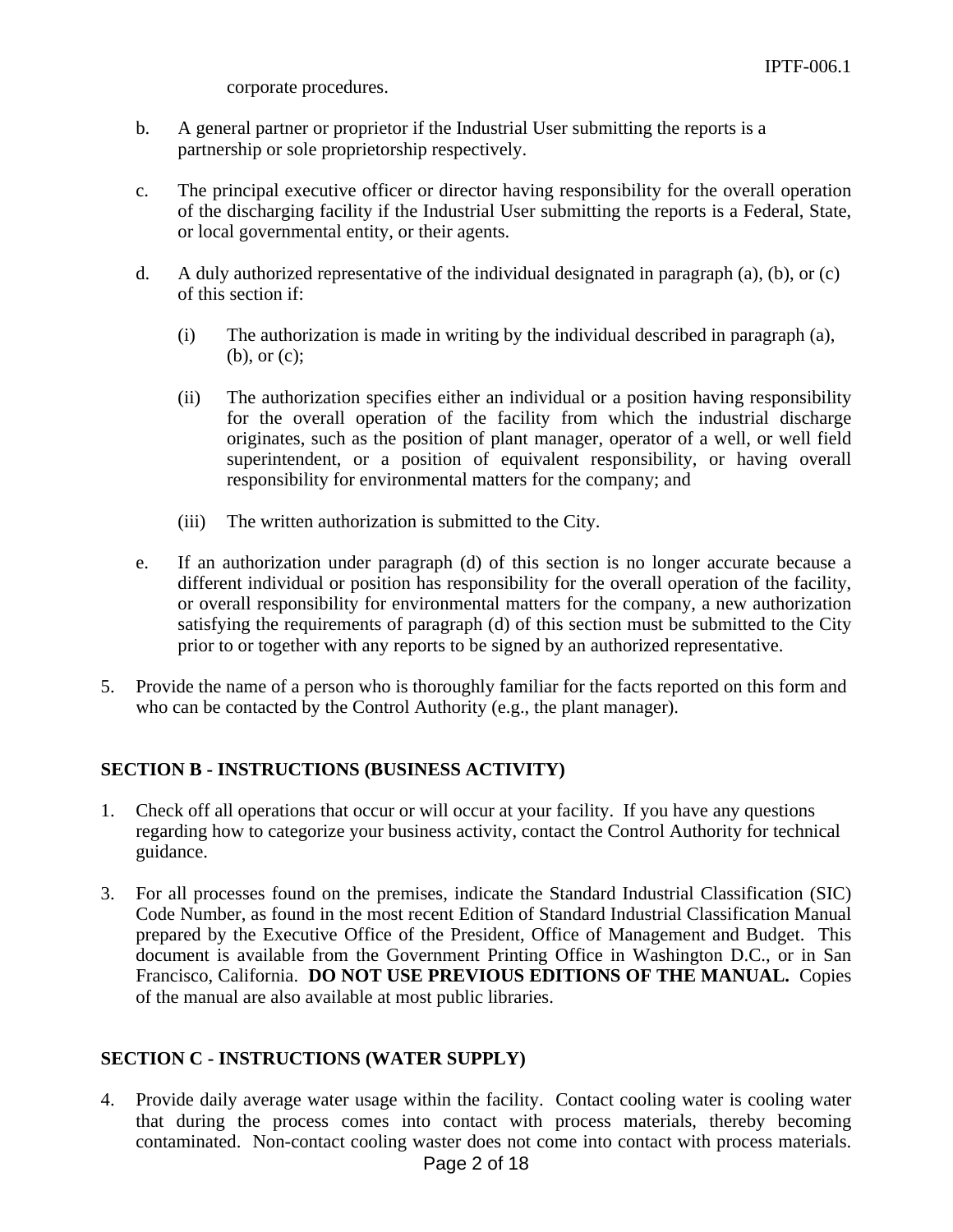corporate procedures.

- b. A general partner or proprietor if the Industrial User submitting the reports is a partnership or sole proprietorship respectively.
- c. The principal executive officer or director having responsibility for the overall operation of the discharging facility if the Industrial User submitting the reports is a Federal, State, or local governmental entity, or their agents.
- d. A duly authorized representative of the individual designated in paragraph (a), (b), or (c) of this section if:
	- (i) The authorization is made in writing by the individual described in paragraph (a), (b), or (c);
	- (ii) The authorization specifies either an individual or a position having responsibility for the overall operation of the facility from which the industrial discharge originates, such as the position of plant manager, operator of a well, or well field superintendent, or a position of equivalent responsibility, or having overall responsibility for environmental matters for the company; and
	- (iii) The written authorization is submitted to the City.
- e. If an authorization under paragraph (d) of this section is no longer accurate because a different individual or position has responsibility for the overall operation of the facility, or overall responsibility for environmental matters for the company, a new authorization satisfying the requirements of paragraph (d) of this section must be submitted to the City prior to or together with any reports to be signed by an authorized representative.
- 5. Provide the name of a person who is thoroughly familiar for the facts reported on this form and who can be contacted by the Control Authority (e.g., the plant manager).

## **SECTION B - INSTRUCTIONS (BUSINESS ACTIVITY)**

- 1. Check off all operations that occur or will occur at your facility. If you have any questions regarding how to categorize your business activity, contact the Control Authority for technical guidance.
- 3. For all processes found on the premises, indicate the Standard Industrial Classification (SIC) Code Number, as found in the most recent Edition of Standard Industrial Classification Manual prepared by the Executive Office of the President, Office of Management and Budget. This document is available from the Government Printing Office in Washington D.C., or in San Francisco, California. **DO NOT USE PREVIOUS EDITIONS OF THE MANUAL.** Copies of the manual are also available at most public libraries.

## **SECTION C - INSTRUCTIONS (WATER SUPPLY)**

Page 2 of 18 4. Provide daily average water usage within the facility. Contact cooling water is cooling water that during the process comes into contact with process materials, thereby becoming contaminated. Non-contact cooling waster does not come into contact with process materials.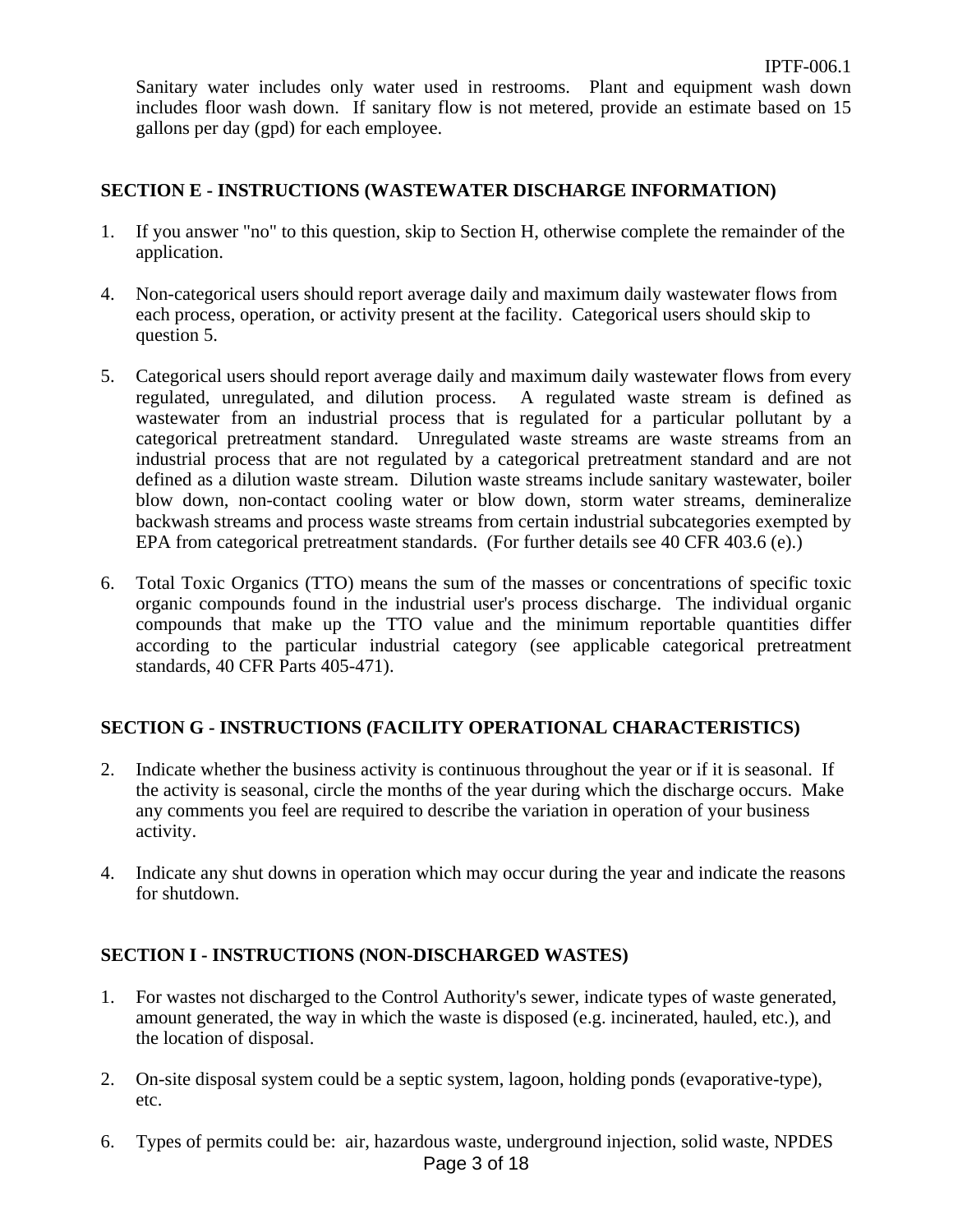Sanitary water includes only water used in restrooms. Plant and equipment wash down includes floor wash down. If sanitary flow is not metered, provide an estimate based on 15 gallons per day (gpd) for each employee.

#### **SECTION E - INSTRUCTIONS (WASTEWATER DISCHARGE INFORMATION)**

- 1. If you answer "no" to this question, skip to Section H, otherwise complete the remainder of the application.
- 4. Non-categorical users should report average daily and maximum daily wastewater flows from each process, operation, or activity present at the facility. Categorical users should skip to question 5.
- 5. Categorical users should report average daily and maximum daily wastewater flows from every regulated, unregulated, and dilution process. A regulated waste stream is defined as wastewater from an industrial process that is regulated for a particular pollutant by a categorical pretreatment standard. Unregulated waste streams are waste streams from an industrial process that are not regulated by a categorical pretreatment standard and are not defined as a dilution waste stream. Dilution waste streams include sanitary wastewater, boiler blow down, non-contact cooling water or blow down, storm water streams, demineralize backwash streams and process waste streams from certain industrial subcategories exempted by EPA from categorical pretreatment standards. (For further details see 40 CFR 403.6 (e).)
- 6. Total Toxic Organics (TTO) means the sum of the masses or concentrations of specific toxic organic compounds found in the industrial user's process discharge. The individual organic compounds that make up the TTO value and the minimum reportable quantities differ according to the particular industrial category (see applicable categorical pretreatment standards, 40 CFR Parts 405-471).

## **SECTION G - INSTRUCTIONS (FACILITY OPERATIONAL CHARACTERISTICS)**

- 2. Indicate whether the business activity is continuous throughout the year or if it is seasonal. If the activity is seasonal, circle the months of the year during which the discharge occurs. Make any comments you feel are required to describe the variation in operation of your business activity.
- 4. Indicate any shut downs in operation which may occur during the year and indicate the reasons for shutdown.

## **SECTION I - INSTRUCTIONS (NON-DISCHARGED WASTES)**

- 1. For wastes not discharged to the Control Authority's sewer, indicate types of waste generated, amount generated, the way in which the waste is disposed (e.g. incinerated, hauled, etc.), and the location of disposal.
- 2. On-site disposal system could be a septic system, lagoon, holding ponds (evaporative-type), etc.
- Page 3 of 18 6. Types of permits could be: air, hazardous waste, underground injection, solid waste, NPDES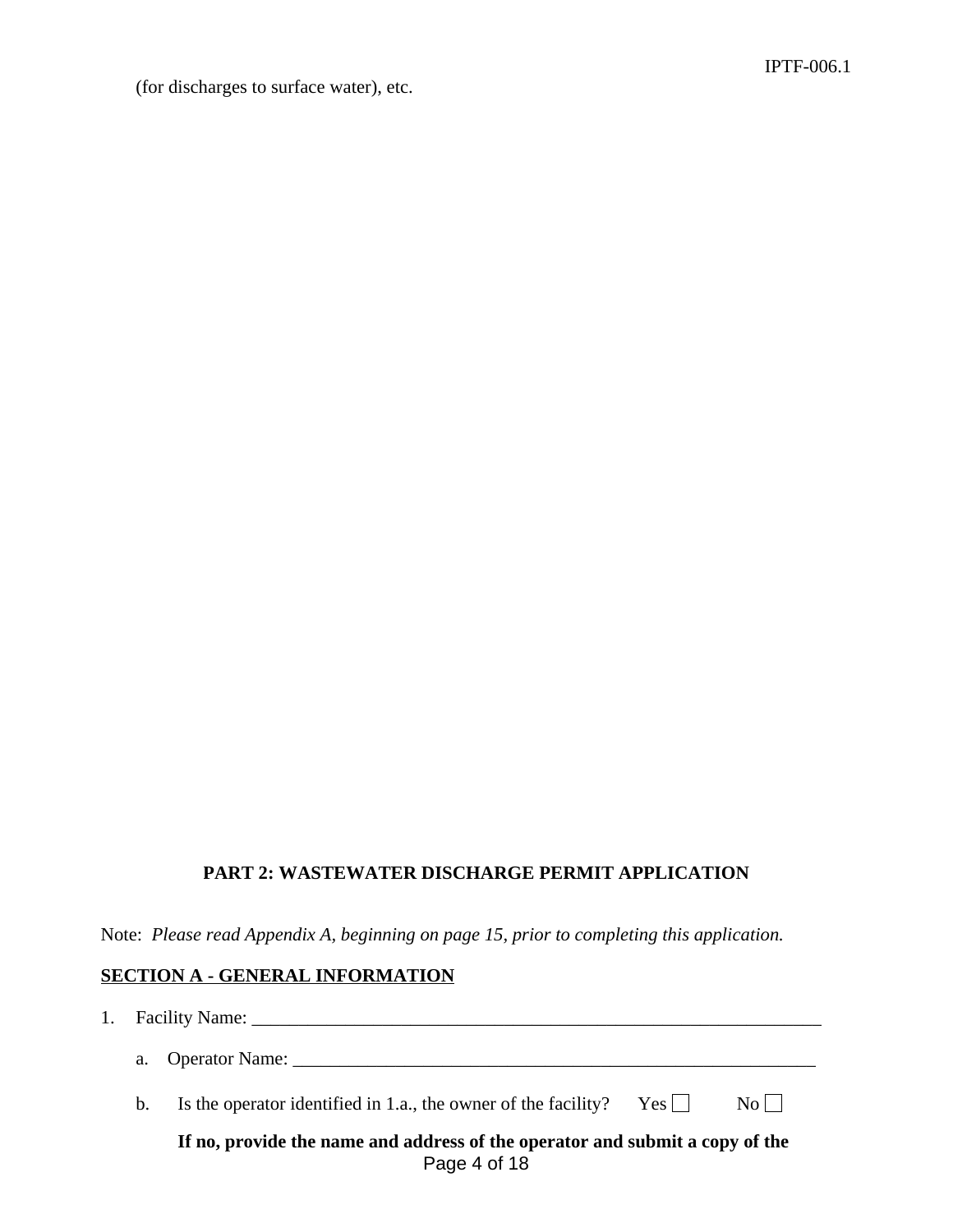(for discharges to surface water), etc.

## **PART 2: WASTEWATER DISCHARGE PERMIT APPLICATION**

Note: *Please read Appendix A, beginning on page 15, prior to completing this application.*

#### **SECTION A - GENERAL INFORMATION**

| $\mathbf{1}$ . |                                                                                              | Facility Name: Name and Solid School and School and School and School and School and School and School and School and School and School and School and School and School and School and School and School and School and Schoo |  |  |  |  |
|----------------|----------------------------------------------------------------------------------------------|--------------------------------------------------------------------------------------------------------------------------------------------------------------------------------------------------------------------------------|--|--|--|--|
|                |                                                                                              | a. Operator Name:                                                                                                                                                                                                              |  |  |  |  |
|                | $b_{\cdot}$                                                                                  | Is the operator identified in 1.a., the owner of the facility? Yes $\Box$<br>$\overline{N_0}$                                                                                                                                  |  |  |  |  |
|                | If no, provide the name and address of the operator and submit a copy of the<br>Page 4 of 18 |                                                                                                                                                                                                                                |  |  |  |  |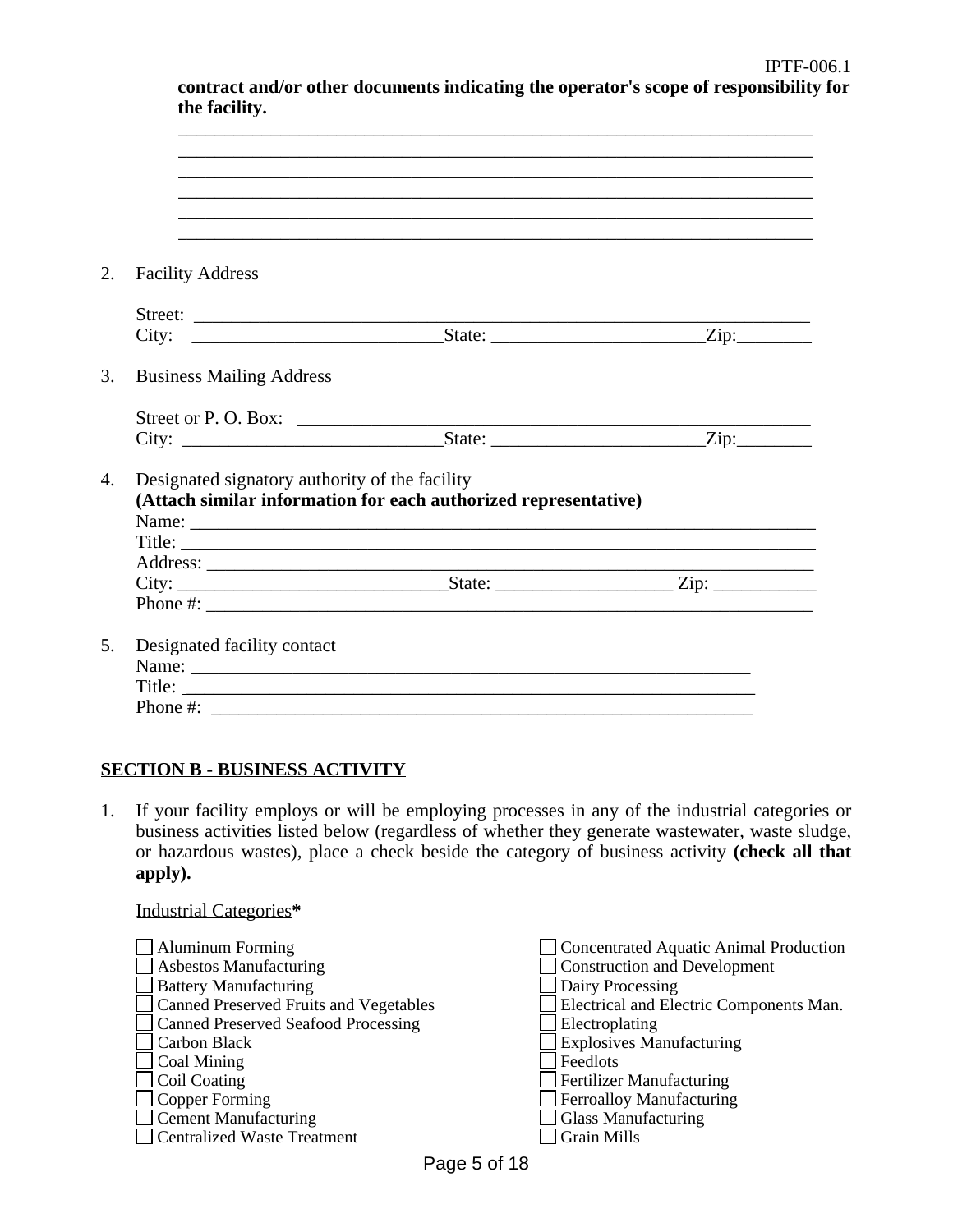| <b>Facility Address</b>         |                                                                                                                                                                                                                                                                                                        |  |
|---------------------------------|--------------------------------------------------------------------------------------------------------------------------------------------------------------------------------------------------------------------------------------------------------------------------------------------------------|--|
|                                 |                                                                                                                                                                                                                                                                                                        |  |
|                                 |                                                                                                                                                                                                                                                                                                        |  |
| <b>Business Mailing Address</b> |                                                                                                                                                                                                                                                                                                        |  |
|                                 |                                                                                                                                                                                                                                                                                                        |  |
|                                 |                                                                                                                                                                                                                                                                                                        |  |
|                                 | Designated signatory authority of the facility<br>(Attach similar information for each authorized representative)                                                                                                                                                                                      |  |
|                                 | Title:                                                                                                                                                                                                                                                                                                 |  |
|                                 |                                                                                                                                                                                                                                                                                                        |  |
|                                 |                                                                                                                                                                                                                                                                                                        |  |
|                                 |                                                                                                                                                                                                                                                                                                        |  |
|                                 | Phone #: $\frac{1}{2}$ = $\frac{1}{2}$ = $\frac{1}{2}$ = $\frac{1}{2}$ = $\frac{1}{2}$ = $\frac{1}{2}$ = $\frac{1}{2}$ = $\frac{1}{2}$ = $\frac{1}{2}$ = $\frac{1}{2}$ = $\frac{1}{2}$ = $\frac{1}{2}$ = $\frac{1}{2}$ = $\frac{1}{2}$ = $\frac{1}{2}$ = $\frac{1}{2}$ = $\frac{1}{2}$ = $\frac{1}{2}$ |  |
|                                 |                                                                                                                                                                                                                                                                                                        |  |
| Designated facility contact     |                                                                                                                                                                                                                                                                                                        |  |
|                                 |                                                                                                                                                                                                                                                                                                        |  |

## **SECTION B - BUSINESS ACTIVITY**

Industrial Categories**\***

1. If your facility employs or will be employing processes in any of the industrial categories or business activities listed below (regardless of whether they generate wastewater, waste sludge, or hazardous wastes), place a check beside the category of business activity **(check all that apply).**

| $\Box$ Aluminum Forming                | Concentrated Aquatic Animal Production  |
|----------------------------------------|-----------------------------------------|
| $\Box$ Asbestos Manufacturing          | <b>Construction and Development</b>     |
| $\Box$ Battery Manufacturing           | Dairy Processing                        |
| Canned Preserved Fruits and Vegetables | Electrical and Electric Components Man. |
| Canned Preserved Seafood Processing    | Electroplating                          |
| Carbon Black                           | <b>Explosives Manufacturing</b>         |
| $\Box$ Coal Mining                     | <b>Feedlots</b>                         |
| $\Box$ Coil Coating                    | Fertilizer Manufacturing                |
| $\Box$ Copper Forming                  | Ferroalloy Manufacturing                |
| $\Box$ Cement Manufacturing            | <b>Glass Manufacturing</b>              |
| Centralized Waste Treatment            | <b>Grain Mills</b>                      |

**contract and/or other documents indicating the operator's scope of responsibility for**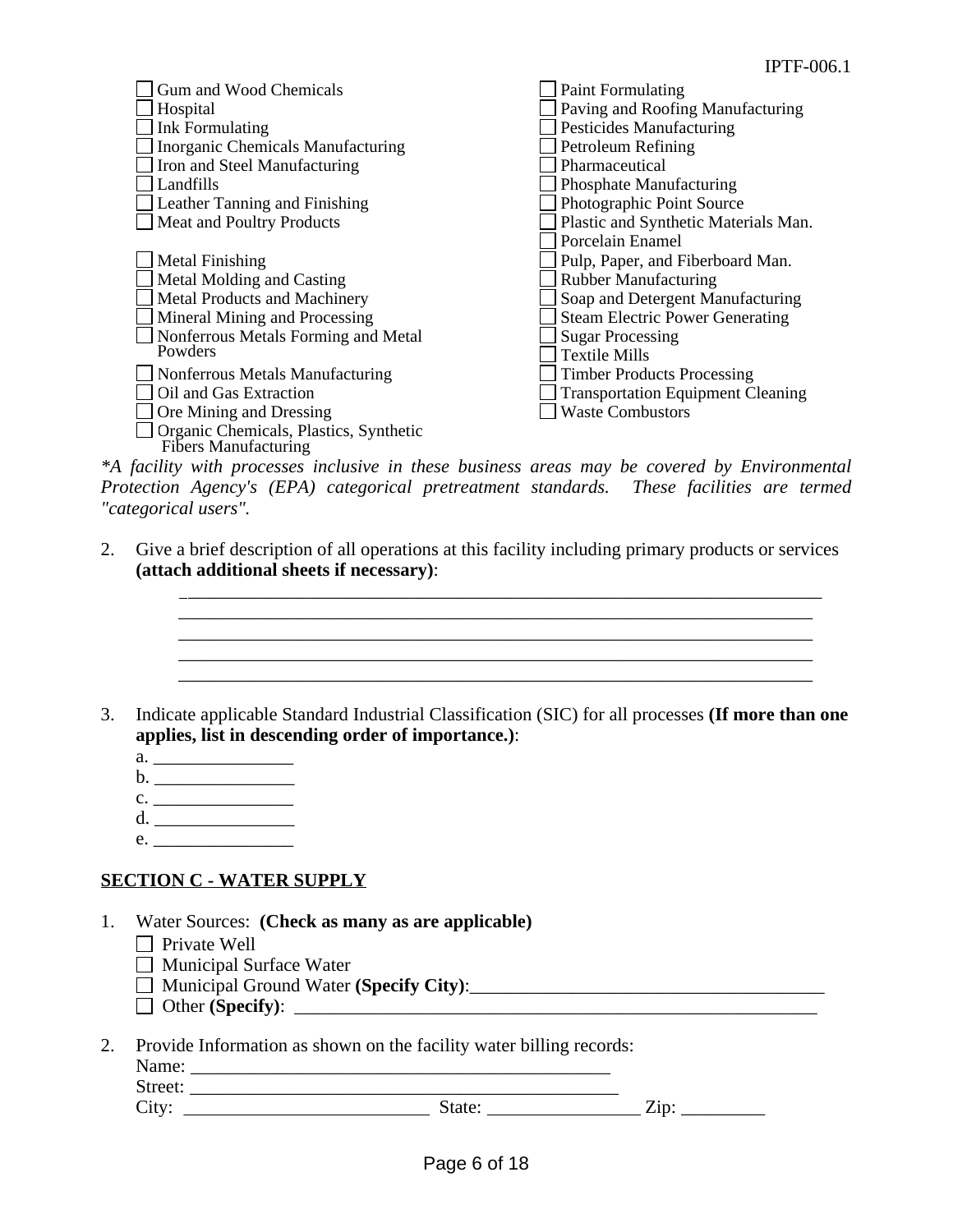| <b>Gum and Wood Chemicals</b>                                  | <b>Paint Formulating</b>                 |
|----------------------------------------------------------------|------------------------------------------|
| Hospital                                                       | Paving and Roofing Manufacturing         |
| <b>Ink Formulating</b>                                         | <b>Pesticides Manufacturing</b>          |
| <b>Inorganic Chemicals Manufacturing</b>                       | Petroleum Refining                       |
| Iron and Steel Manufacturing                                   | Pharmaceutical                           |
| Landfills                                                      | <b>Phosphate Manufacturing</b>           |
| Leather Tanning and Finishing                                  | Photographic Point Source                |
| <b>Meat and Poultry Products</b>                               | Plastic and Synthetic Materials Man.     |
|                                                                | Porcelain Enamel                         |
| <b>Metal Finishing</b>                                         | Pulp, Paper, and Fiberboard Man.         |
| Metal Molding and Casting                                      | <b>Rubber Manufacturing</b>              |
| Metal Products and Machinery                                   | Soap and Detergent Manufacturing         |
| Mineral Mining and Processing                                  | <b>Steam Electric Power Generating</b>   |
| Nonferrous Metals Forming and Metal                            | <b>Sugar Processing</b>                  |
| Powders                                                        | <b>Textile Mills</b>                     |
| Nonferrous Metals Manufacturing                                | <b>Timber Products Processing</b>        |
| Oil and Gas Extraction                                         | <b>Transportation Equipment Cleaning</b> |
| Ore Mining and Dressing                                        | <b>Waste Combustors</b>                  |
| Organic Chemicals, Plastics, Synthetic<br>Fibers Manufacturing |                                          |

*\*A facility with processes inclusive in these business areas may be covered by Environmental Protection Agency's (EPA) categorical pretreatment standards. These facilities are termed "categorical users".*

2. Give a brief description of all operations at this facility including primary products or services **(attach additional sheets if necessary)**:

> $\mathcal{L}_\mathcal{L} = \{ \mathcal{L}_\mathcal{L} = \{ \mathcal{L}_\mathcal{L} = \{ \mathcal{L}_\mathcal{L} = \{ \mathcal{L}_\mathcal{L} = \{ \mathcal{L}_\mathcal{L} = \{ \mathcal{L}_\mathcal{L} = \{ \mathcal{L}_\mathcal{L} = \{ \mathcal{L}_\mathcal{L} = \{ \mathcal{L}_\mathcal{L} = \{ \mathcal{L}_\mathcal{L} = \{ \mathcal{L}_\mathcal{L} = \{ \mathcal{L}_\mathcal{L} = \{ \mathcal{L}_\mathcal{L} = \{ \mathcal{L}_\mathcal{$  $\overline{\phantom{a}}$  , and the contribution of the contribution of the contribution of the contribution of the contribution of  $\overline{\phantom{a}}$

3. Indicate applicable Standard Industrial Classification (SIC) for all processes **(If more than one applies, list in descending order of importance.)**:

\_\_\_\_\_\_\_\_\_\_\_\_\_\_\_\_\_\_\_\_\_\_\_\_\_\_\_\_\_\_\_\_\_\_\_\_\_\_\_\_\_\_\_\_\_\_\_\_\_\_\_\_\_\_\_\_\_\_\_\_\_\_\_\_\_\_\_\_

- a. \_\_\_\_\_\_\_\_\_\_\_\_\_\_\_
- b. \_\_\_\_\_\_\_\_\_\_\_\_\_\_\_
- $c.$
- d. \_\_\_\_\_\_\_\_\_\_\_\_\_\_\_ e. \_\_\_\_\_\_\_\_\_\_\_\_\_\_\_
- 

## **SECTION C - WATER SUPPLY**

- 1. Water Sources: **(Check as many as are applicable)**
	- $\Box$  Private Well
	- $\Box$  Municipal Surface Water
	- □ Municipal Ground Water **(Specify City)**:
	- Other **(Specify)**: \_\_\_\_\_\_\_\_\_\_\_\_\_\_\_\_\_\_\_\_\_\_\_\_\_\_\_\_\_\_\_\_\_\_\_\_\_\_\_\_\_\_\_\_\_\_\_\_\_\_\_\_\_\_\_\_
- 2. Provide Information as shown on the facility water billing records:

| Name: |  |
|-------|--|
|       |  |

Street:  $City:$   $Zip:$   $Zip:$ 

 $\frac{1}{2}$  ,  $\frac{1}{2}$  ,  $\frac{1}{2}$  ,  $\frac{1}{2}$  ,  $\frac{1}{2}$  ,  $\frac{1}{2}$  ,  $\frac{1}{2}$  ,  $\frac{1}{2}$  ,  $\frac{1}{2}$  ,  $\frac{1}{2}$  ,  $\frac{1}{2}$  ,  $\frac{1}{2}$  ,  $\frac{1}{2}$  ,  $\frac{1}{2}$  ,  $\frac{1}{2}$  ,  $\frac{1}{2}$  ,  $\frac{1}{2}$  ,  $\frac{1}{2}$  ,  $\frac{1$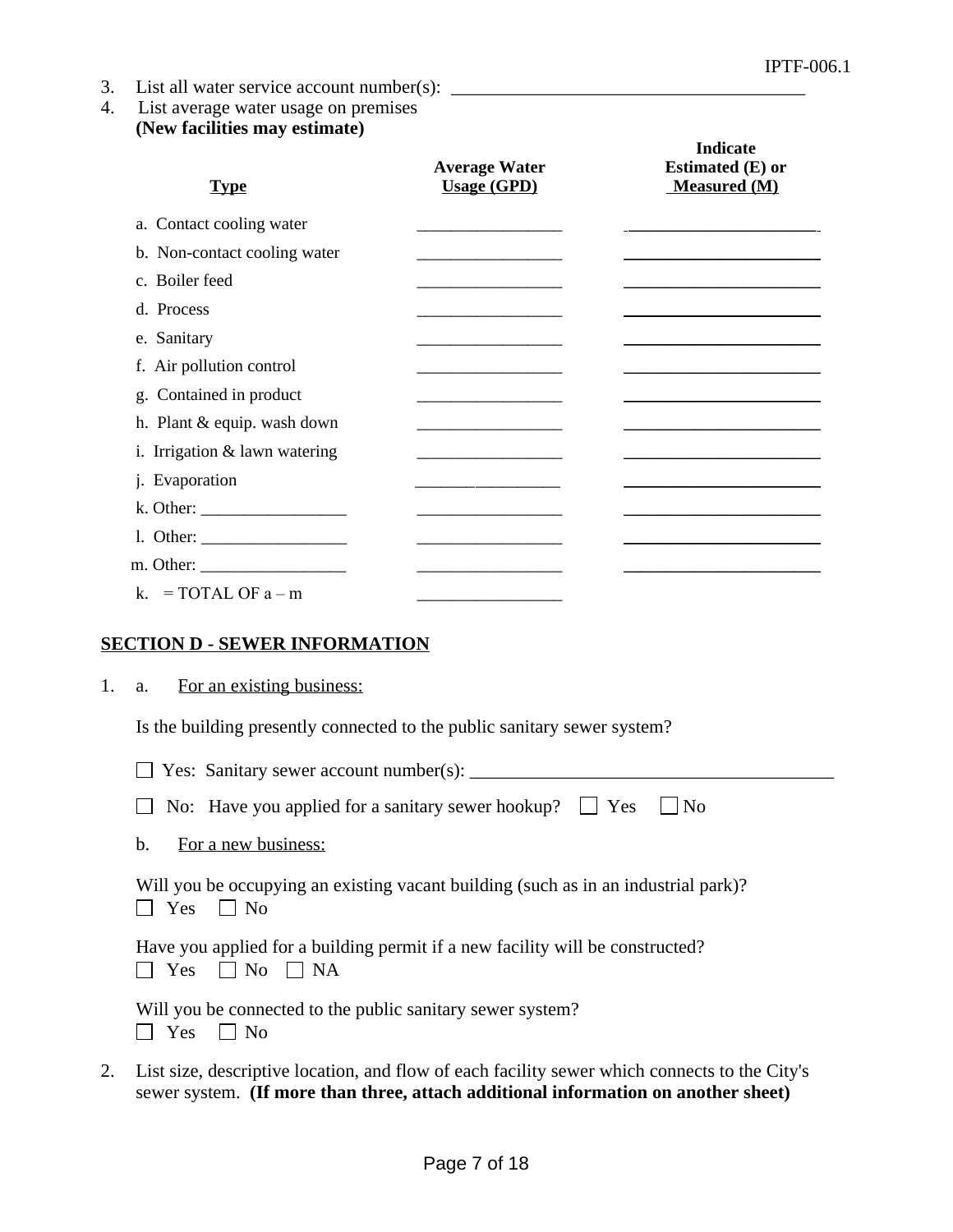- 3. List all water service account number(s): \_\_\_\_\_\_\_\_\_\_\_\_\_\_\_\_\_\_\_\_\_\_\_\_\_\_\_\_\_\_\_\_\_\_\_
- 4. List average water usage on premises **(New facilities may estimate)**

| <b>Type</b>                   | <b>Average Water</b><br><b>Usage (GPD)</b>                                                                           | <b>Indicate</b><br>Estimated (E) or<br><b>Measured (M)</b> |
|-------------------------------|----------------------------------------------------------------------------------------------------------------------|------------------------------------------------------------|
| a. Contact cooling water      |                                                                                                                      |                                                            |
| b. Non-contact cooling water  |                                                                                                                      |                                                            |
| c. Boiler feed                |                                                                                                                      |                                                            |
| d. Process                    | the control of the control of the control of the control of the control of the control of                            |                                                            |
| e. Sanitary                   | <u> 1980 - Johann Barbara, martin da basar a shekara 1980 - An tsa a tsara 1980 - An tsa a tsara 1980 - An tsa a</u> |                                                            |
| f. Air pollution control      |                                                                                                                      |                                                            |
| g. Contained in product       |                                                                                                                      |                                                            |
| h. Plant & equip. wash down   |                                                                                                                      |                                                            |
| i. Irrigation & lawn watering |                                                                                                                      |                                                            |
| j. Evaporation                |                                                                                                                      |                                                            |
|                               |                                                                                                                      |                                                            |
| 1. Other: $\frac{1}{2}$       |                                                                                                                      |                                                            |
|                               |                                                                                                                      |                                                            |
| k. = TOTAL OF $a - m$         |                                                                                                                      |                                                            |

## **SECTION D - SEWER INFORMATION**

|  |  | For an existing business: |
|--|--|---------------------------|
|  |  |                           |

Is the building presently connected to the public sanitary sewer system?

|    | $\Box$ Yes: Sanitary sewer account number(s): $\Box$                                                                                                                                |
|----|-------------------------------------------------------------------------------------------------------------------------------------------------------------------------------------|
|    | No: Have you applied for a sanitary sewer hookup? $\Box$ Yes $\Box$ No                                                                                                              |
|    | For a new business:<br>$\mathbf{b}$ .                                                                                                                                               |
|    | Will you be occupying an existing vacant building (such as in an industrial park)?<br>$\Box$ No<br>Yes                                                                              |
|    | Have you applied for a building permit if a new facility will be constructed?<br>$\Box$ No $\Box$ NA<br>Yes                                                                         |
|    | Will you be connected to the public sanitary sewer system?<br>$\mathsf{I}$   No<br>Yes                                                                                              |
| 2. | List size, descriptive location, and flow of each facility sewer which connects to the City's<br>sewer system. (If more than three, attach additional information on another sheet) |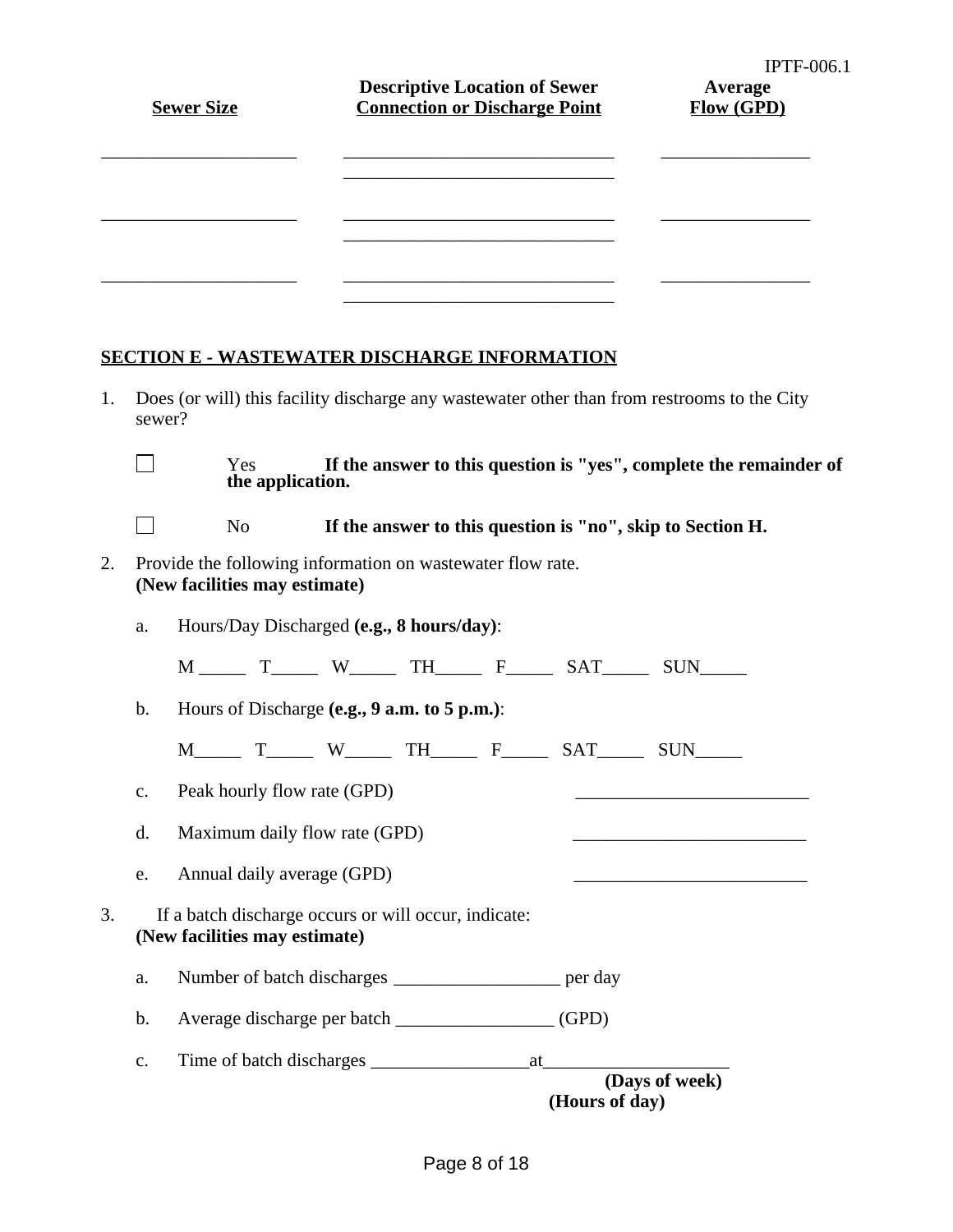|    |                | <b>Sewer Size</b>             |                          | <b>Descriptive Location of Sewer</b><br><b>Connection or Discharge Point</b> |  | <b>IPTF-006.1</b><br>Average<br><b>Flow (GPD)</b>                                           |
|----|----------------|-------------------------------|--------------------------|------------------------------------------------------------------------------|--|---------------------------------------------------------------------------------------------|
|    |                |                               |                          |                                                                              |  |                                                                                             |
|    |                |                               |                          |                                                                              |  |                                                                                             |
|    |                |                               |                          |                                                                              |  |                                                                                             |
|    |                |                               |                          | <b>SECTION E - WASTEWATER DISCHARGE INFORMATION</b>                          |  |                                                                                             |
| 1. | sewer?         |                               |                          |                                                                              |  | Does (or will) this facility discharge any wastewater other than from restrooms to the City |
|    |                |                               | Yes.<br>the application. |                                                                              |  | If the answer to this question is "yes", complete the remainder of                          |
|    |                | N <sub>0</sub>                |                          | If the answer to this question is "no", skip to Section H.                   |  |                                                                                             |
| 2. |                | (New facilities may estimate) |                          | Provide the following information on wastewater flow rate.                   |  |                                                                                             |
|    | a.             |                               |                          | Hours/Day Discharged (e.g., 8 hours/day):                                    |  |                                                                                             |
|    |                |                               |                          | M _____ T_____ W_____ TH_____ F_____ SAT_____ SUN_____                       |  |                                                                                             |
|    | $b$ .          |                               |                          | Hours of Discharge (e.g., 9 a.m. to 5 p.m.):                                 |  |                                                                                             |
|    |                |                               |                          | M_______ T_______ W_______ TH_______ F_______ SAT_______ SUN______           |  |                                                                                             |
|    | $\mathbf{c}$ . | Peak hourly flow rate (GPD)   |                          |                                                                              |  |                                                                                             |

- d. Maximum daily flow rate (GPD)
- e. Annual daily average (GPD)
- 3. If a batch discharge occurs or will occur, indicate: **(New facilities may estimate)**
	- a. Number of batch discharges \_\_\_\_\_\_\_\_\_\_\_\_\_\_\_\_\_\_ per day
	- b. Average discharge per batch \_\_\_\_\_\_\_\_\_\_\_\_\_\_\_\_\_ (GPD)
	- c. Time of batch discharges \_\_\_\_\_\_\_\_\_\_\_\_\_\_\_\_\_at\_\_\_\_\_\_\_\_\_\_\_\_\_\_\_\_\_\_\_\_ **(Days of week) (Hours of day)**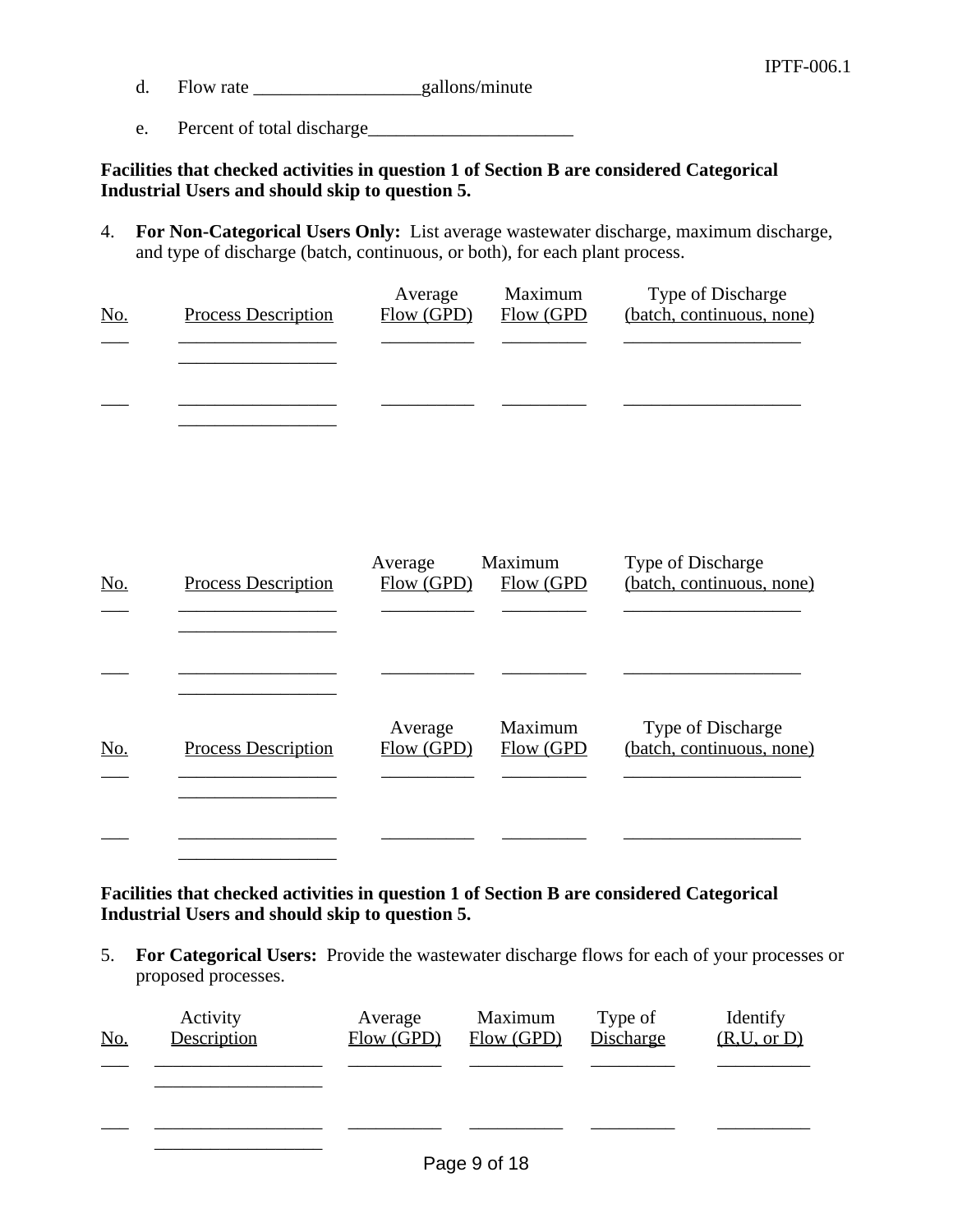- d. Flow rate gallons/minute
- e. Percent of total discharge\_\_\_\_\_\_\_\_\_\_\_\_\_\_\_\_\_\_\_\_\_\_

**Facilities that checked activities in question 1 of Section B are considered Categorical Industrial Users and should skip to question 5.**

4. **For Non-Categorical Users Only:** List average wastewater discharge, maximum discharge, and type of discharge (batch, continuous, or both), for each plant process.

| No. | <b>Process Description</b> | Average<br>Flow (GPD) | Maximum<br>Flow (GPD | Type of Discharge<br>(batch, continuous, none) |
|-----|----------------------------|-----------------------|----------------------|------------------------------------------------|
|     |                            |                       |                      |                                                |
|     |                            |                       |                      |                                                |
|     |                            |                       |                      |                                                |

| No. | <b>Process Description</b> | Average<br>Flow (GPD) | Maximum<br>Flow (GPD | Type of Discharge<br>(batch, continuous, none) |
|-----|----------------------------|-----------------------|----------------------|------------------------------------------------|
|     |                            |                       |                      |                                                |
|     |                            |                       |                      |                                                |
| No. | <b>Process Description</b> | Average<br>Flow (GPD) | Maximum<br>Flow (GPD | Type of Discharge<br>(batch, continuous, none) |
|     |                            |                       |                      |                                                |

**Facilities that checked activities in question 1 of Section B are considered Categorical Industrial Users and should skip to question 5.** 

5. **For Categorical Users:** Provide the wastewater discharge flows for each of your processes or proposed processes.

| No. | Activity<br>Description | Average<br>Flow(GPD) | Maximum<br>Flow (GPD) | Type of<br>Discharge | Identify<br>(R, U, or D) |
|-----|-------------------------|----------------------|-----------------------|----------------------|--------------------------|
|     |                         |                      |                       |                      |                          |
|     |                         |                      |                       |                      |                          |
|     |                         |                      |                       |                      |                          |
|     |                         |                      | Page 9 of 18          |                      |                          |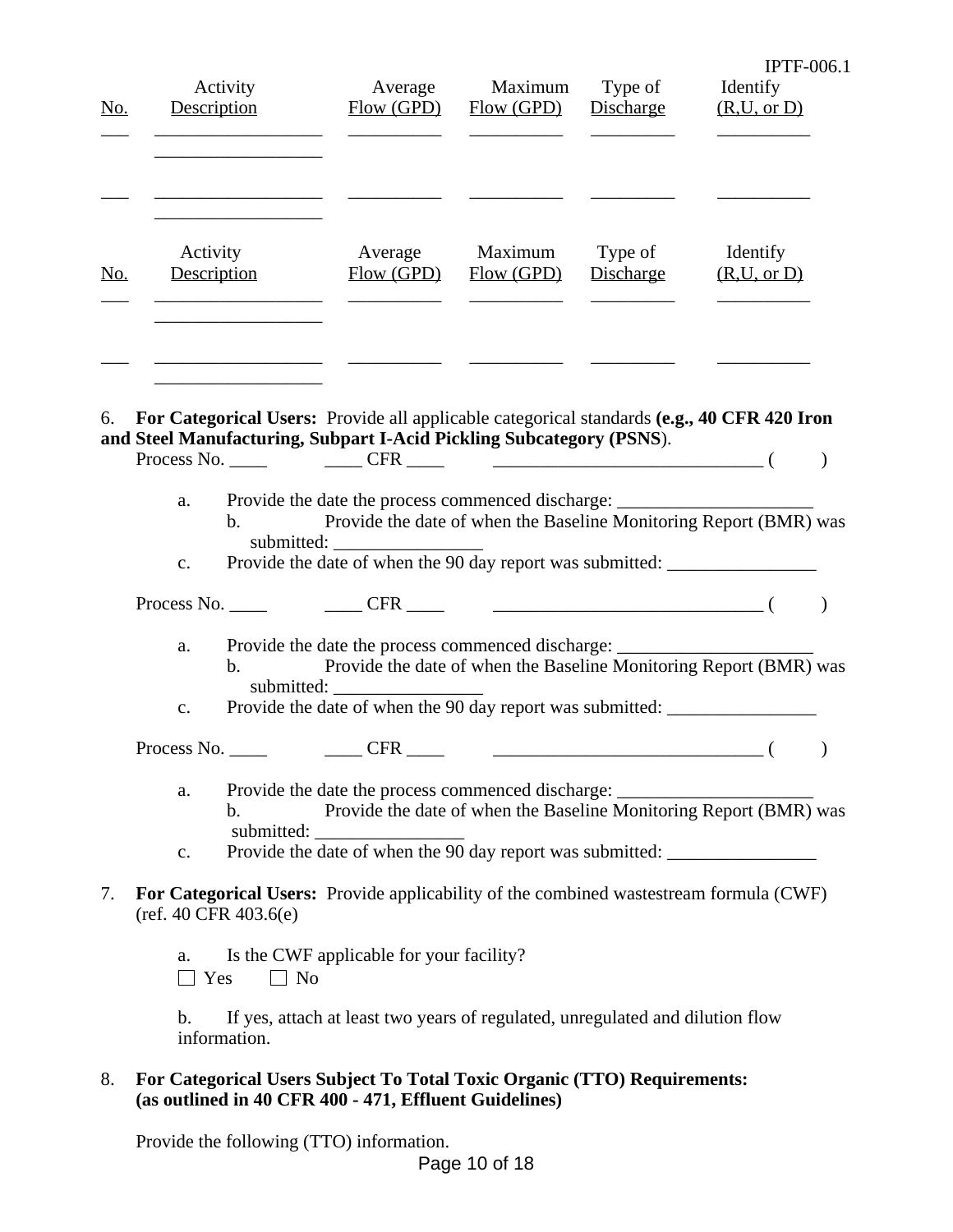| <u>No.</u> | Activity<br>Description                                                                    | Average<br>Flow(GPD)                                                              | Maximum<br>Flow(GPD)                                | Type of<br>Discharge | $IFIF-006.1$<br>Identify<br>(R, U, or D)                          |
|------------|--------------------------------------------------------------------------------------------|-----------------------------------------------------------------------------------|-----------------------------------------------------|----------------------|-------------------------------------------------------------------|
| <u>No.</u> | Activity<br>Description                                                                    | Average<br>Flow(GPD)                                                              | Maximum<br>Flow (GPD)                               | Type of<br>Discharge | Identify<br>(R, U, or D)                                          |
| 6.         | For Categorical Users: Provide all applicable categorical standards (e.g., 40 CFR 420 Iron |                                                                                   |                                                     |                      |                                                                   |
|            | and Steel Manufacturing, Subpart I-Acid Pickling Subcategory (PSNS).                       |                                                                                   |                                                     |                      |                                                                   |
|            | Process No. CFR                                                                            |                                                                                   | $\overline{\phantom{a}}$ ( $\overline{\phantom{a}}$ |                      |                                                                   |
|            | a.<br>$\mathbf{b}$ .<br>submitted:                                                         | Provide the date the process commenced discharge: _______________________________ |                                                     |                      | Provide the date of when the Baseline Monitoring Report (BMR) was |
|            | $C_{\bullet}$                                                                              | Provide the date of when the 90 day report was submitted:                         |                                                     |                      |                                                                   |

 $\blacksquare$ 

Process No. \_\_\_\_ \_\_\_\_ CFR \_\_\_\_ \_\_\_\_\_\_\_\_\_\_\_\_\_\_\_\_\_\_\_\_\_\_\_\_\_\_\_\_\_ ( )

- a. Provide the date the process commenced discharge: b. Provide the date of when the Baseline Monitoring Report (BMR) was submitted: \_\_\_\_\_\_\_\_\_\_\_\_\_\_\_\_
- c. Provide the date of when the 90 day report was submitted: \_\_\_\_\_\_\_\_\_\_\_\_\_\_\_\_\_\_\_

Process No. \_\_\_\_ \_\_\_\_ CFR \_\_\_\_ \_\_\_\_\_\_\_\_\_\_\_\_\_\_\_\_\_\_\_\_\_\_\_\_\_\_\_\_\_ ( )

- a. Provide the date the process commenced discharge: b. Provide the date of when the Baseline Monitoring Report (BMR) was submitted:
- c. Provide the date of when the 90 day report was submitted: \_\_\_\_\_\_\_\_\_\_\_\_\_\_\_\_\_\_\_
- 7. **For Categorical Users:** Provide applicability of the combined wastestream formula (CWF) (ref. 40 CFR 403.6(e)
	- a. Is the CWF applicable for your facility?  $\Box$  Yes  $\Box$  No

b. If yes, attach at least two years of regulated, unregulated and dilution flow information.

8. **For Categorical Users Subject To Total Toxic Organic (TTO) Requirements: (as outlined in 40 CFR 400 - 471, Effluent Guidelines)**

Provide the following (TTO) information.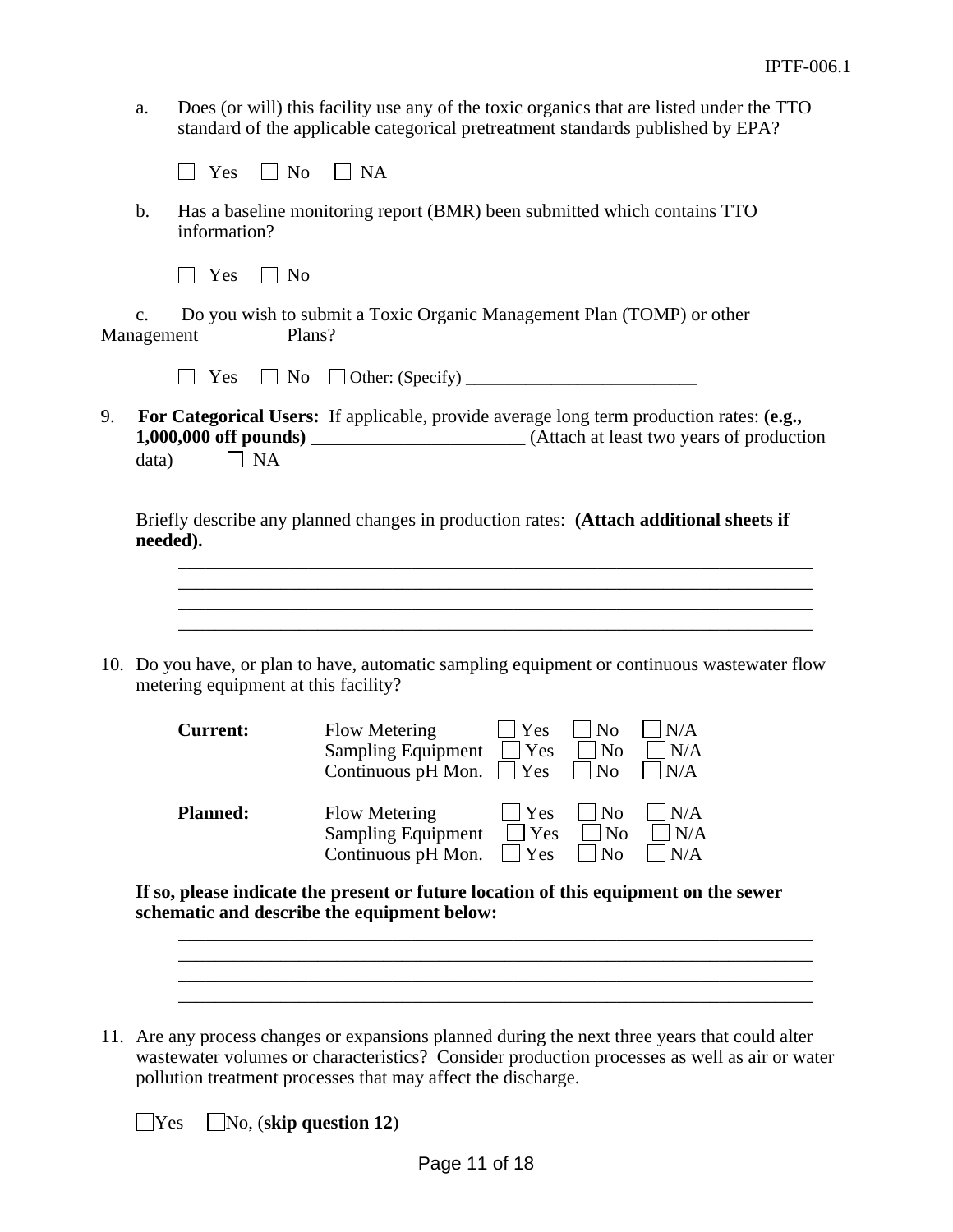a. Does (or will) this facility use any of the toxic organics that are listed under the TTO standard of the applicable categorical pretreatment standards published by EPA?

|  | $_{ex}$ | N۵ | NΑ |
|--|---------|----|----|
|--|---------|----|----|

b. Has a baseline monitoring report (BMR) been submitted which contains TTO information?

|  | ×<br>v |  | ۰ |
|--|--------|--|---|
|--|--------|--|---|

c. Do you wish to submit a Toxic Organic Management Plan (TOMP) or other Management Plans?

|--|--|

 $Yes \Box No \Box Other: (Specificity) \Box$ 

9. **For Categorical Users:** If applicable, provide average long term production rates: **(e.g., 1,000,000 off pounds)** \_\_\_\_\_\_\_\_\_\_\_\_\_\_\_\_\_\_\_\_\_\_\_ (Attach at least two years of production data)  $\Box$  NA

Briefly describe any planned changes in production rates: **(Attach additional sheets if needed).**

\_\_\_\_\_\_\_\_\_\_\_\_\_\_\_\_\_\_\_\_\_\_\_\_\_\_\_\_\_\_\_\_\_\_\_\_\_\_\_\_\_\_\_\_\_\_\_\_\_\_\_\_\_\_\_\_\_\_\_\_\_\_\_\_\_\_\_\_ \_\_\_\_\_\_\_\_\_\_\_\_\_\_\_\_\_\_\_\_\_\_\_\_\_\_\_\_\_\_\_\_\_\_\_\_\_\_\_\_\_\_\_\_\_\_\_\_\_\_\_\_\_\_\_\_\_\_\_\_\_\_\_\_\_\_\_\_

10. Do you have, or plan to have, automatic sampling equipment or continuous wastewater flow metering equipment at this facility?

| <b>Current:</b> | Flow Metering<br><b>Sampling Equipment</b><br>Continuous pH Mon. $Yes$ No | Yes<br><b>Yes</b> | N <sub>0</sub><br>$\vert$   No | N/A<br>N/A<br>$\vert$ $\vert$ N/A |
|-----------------|---------------------------------------------------------------------------|-------------------|--------------------------------|-----------------------------------|
| <b>Planned:</b> | Flow Metering                                                             | Yes               | $ N_0 $                        | N/A                               |
|                 | <b>Sampling Equipment</b>                                                 | Yes               | No                             | $\mathsf{N}/\mathsf{A}$           |
|                 | Continuous pH Mon.                                                        | Yes               | $\overline{N}$                 | N/A                               |

**If so, please indicate the present or future location of this equipment on the sewer schematic and describe the equipment below:**

\_\_\_\_\_\_\_\_\_\_\_\_\_\_\_\_\_\_\_\_\_\_\_\_\_\_\_\_\_\_\_\_\_\_\_\_\_\_\_\_\_\_\_\_\_\_\_\_\_\_\_\_\_\_\_\_\_\_\_\_\_\_\_\_\_\_\_\_ \_\_\_\_\_\_\_\_\_\_\_\_\_\_\_\_\_\_\_\_\_\_\_\_\_\_\_\_\_\_\_\_\_\_\_\_\_\_\_\_\_\_\_\_\_\_\_\_\_\_\_\_\_\_\_\_\_\_\_\_\_\_\_\_\_\_\_\_  $\mathcal{L}_\mathcal{L} = \mathcal{L}_\mathcal{L} = \mathcal{L}_\mathcal{L} = \mathcal{L}_\mathcal{L} = \mathcal{L}_\mathcal{L} = \mathcal{L}_\mathcal{L} = \mathcal{L}_\mathcal{L} = \mathcal{L}_\mathcal{L} = \mathcal{L}_\mathcal{L} = \mathcal{L}_\mathcal{L} = \mathcal{L}_\mathcal{L} = \mathcal{L}_\mathcal{L} = \mathcal{L}_\mathcal{L} = \mathcal{L}_\mathcal{L} = \mathcal{L}_\mathcal{L} = \mathcal{L}_\mathcal{L} = \mathcal{L}_\mathcal{L}$ \_\_\_\_\_\_\_\_\_\_\_\_\_\_\_\_\_\_\_\_\_\_\_\_\_\_\_\_\_\_\_\_\_\_\_\_\_\_\_\_\_\_\_\_\_\_\_\_\_\_\_\_\_\_\_\_\_\_\_\_\_\_\_\_\_\_\_\_

11. Are any process changes or expansions planned during the next three years that could alter wastewater volumes or characteristics? Consider production processes as well as air or water pollution treatment processes that may affect the discharge.

 $\bigcup$ Yes  $\bigcup$ No, (**skip question 12**)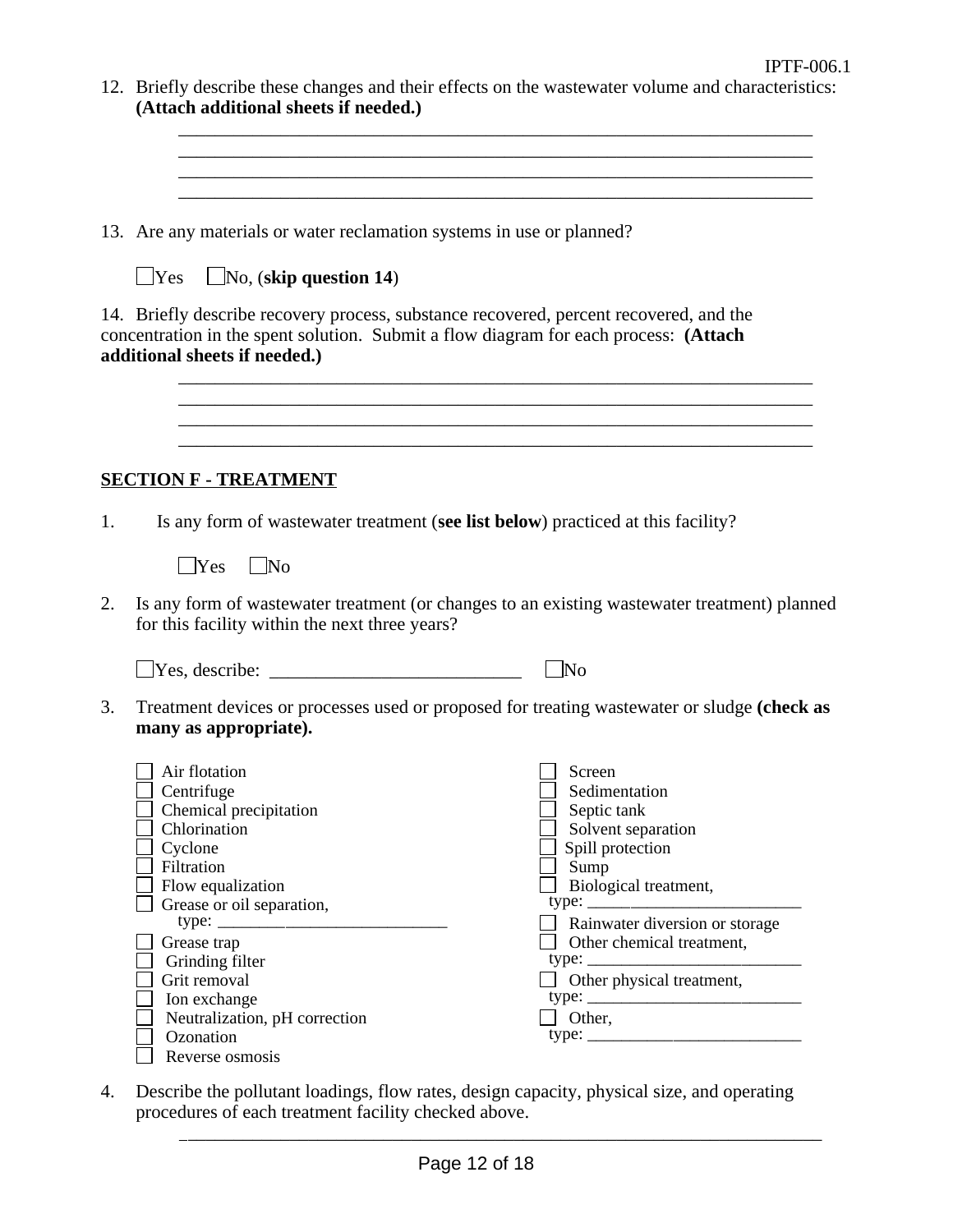| (Attach additional sheets if needed.)                                                                                                                                                                                                                                               | 12. Briefly describe these changes and their effects on the wastewater volume and characteristics:                                                                                                                                                       |
|-------------------------------------------------------------------------------------------------------------------------------------------------------------------------------------------------------------------------------------------------------------------------------------|----------------------------------------------------------------------------------------------------------------------------------------------------------------------------------------------------------------------------------------------------------|
|                                                                                                                                                                                                                                                                                     | and the control of the control of the control of the control of the control of the control of the control of the                                                                                                                                         |
| 13. Are any materials or water reclamation systems in use or planned?                                                                                                                                                                                                               |                                                                                                                                                                                                                                                          |
| $\Box$ No, (skip question 14)<br>$\Box$ Yes                                                                                                                                                                                                                                         |                                                                                                                                                                                                                                                          |
| 14. Briefly describe recovery process, substance recovered, percent recovered, and the<br>concentration in the spent solution. Submit a flow diagram for each process: (Attach<br>additional sheets if needed.)                                                                     |                                                                                                                                                                                                                                                          |
|                                                                                                                                                                                                                                                                                     |                                                                                                                                                                                                                                                          |
| <b>SECTION F - TREATMENT</b>                                                                                                                                                                                                                                                        |                                                                                                                                                                                                                                                          |
| Is any form of was tewater treatment (see list below) practiced at this facility?                                                                                                                                                                                                   |                                                                                                                                                                                                                                                          |
| $\vert$ No<br>Yes                                                                                                                                                                                                                                                                   |                                                                                                                                                                                                                                                          |
| for this facility within the next three years?                                                                                                                                                                                                                                      | Is any form of wastewater treatment (or changes to an existing wastewater treatment) planned                                                                                                                                                             |
| $\Box$ Yes, describe: $\Box$                                                                                                                                                                                                                                                        | $\Box$ No                                                                                                                                                                                                                                                |
| many as appropriate).                                                                                                                                                                                                                                                               | Treatment devices or processes used or proposed for treating wastewater or sludge (check as                                                                                                                                                              |
| Air flotation<br>Centrifuge<br>Chemical precipitation<br>Chlorination<br>Cyclone<br>Filtration<br>Flow equalization<br>Grease or oil separation,<br>Grease trap<br>Grinding filter<br>Grit removal<br>Ion exchange<br>Neutralization, pH correction<br>Ozonation<br>Reverse osmosis | $\exists$ Screen<br>Sedimentation<br>Septic tank<br>Solvent separation<br>Spill protection<br>Sump<br>Biological treatment,<br>Rainwater diversion or storage<br>Other chemical treatment,<br>type:<br>$\Box$ Other physical treatment,<br>$\Box$ Other, |
|                                                                                                                                                                                                                                                                                     |                                                                                                                                                                                                                                                          |

4. Describe the pollutant loadings, flow rates, design capacity, physical size, and operating procedures of each treatment facility checked above.

\_\_\_\_\_\_\_\_\_\_\_\_\_\_\_\_\_\_\_\_\_\_\_\_\_\_\_\_\_\_\_\_\_\_\_\_\_\_\_\_\_\_\_\_\_\_\_\_\_\_\_\_\_\_\_\_\_\_\_\_\_\_\_\_\_\_\_\_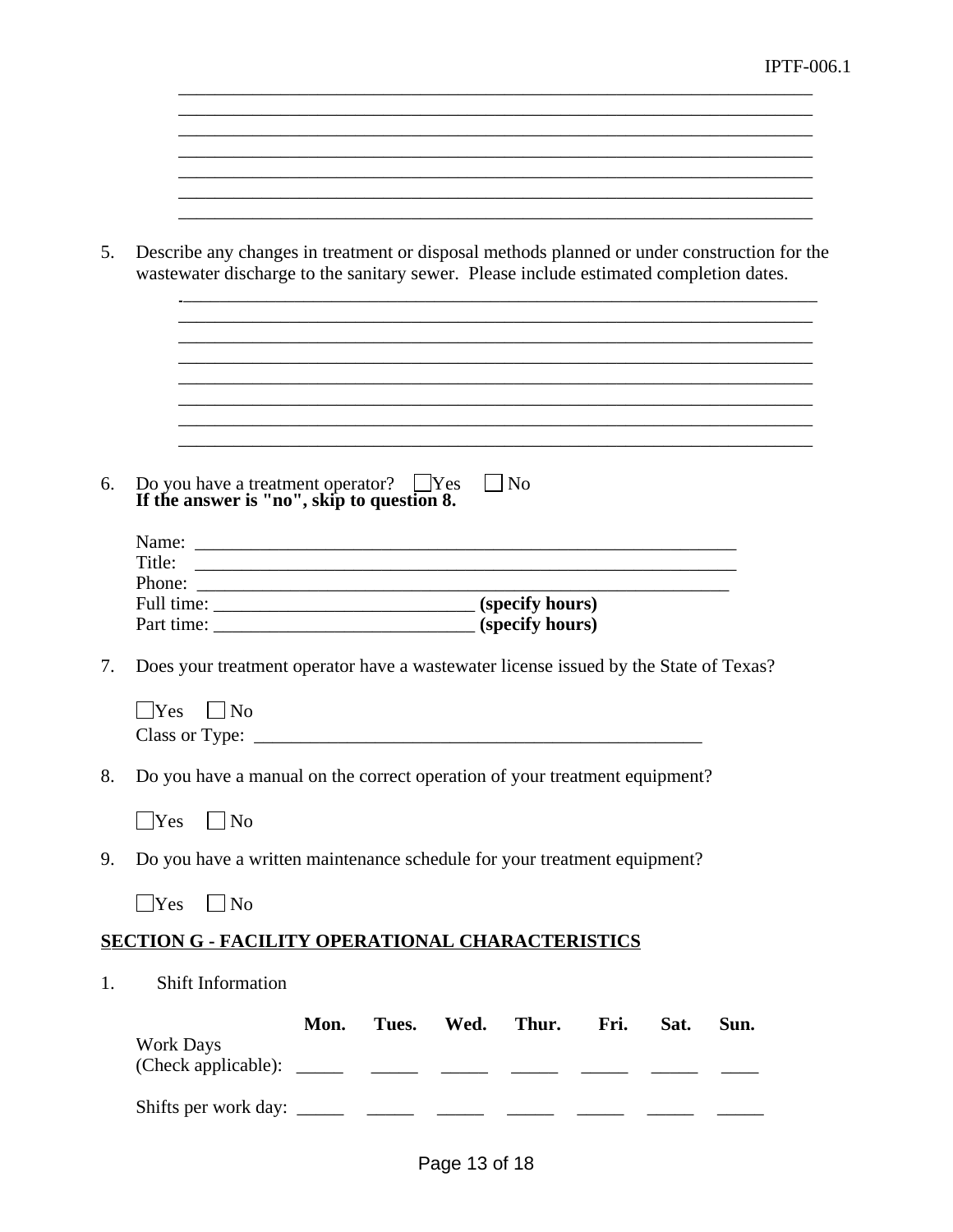\_\_\_\_\_\_\_\_\_\_\_\_\_\_\_\_\_\_\_\_\_\_\_\_\_\_\_\_\_\_\_\_\_\_\_\_\_\_\_\_\_\_\_\_\_\_\_\_\_\_\_\_\_\_\_\_\_\_\_\_\_\_\_\_\_\_\_\_

| 5. | Describe any changes in treatment or disposal methods planned or under construction for the<br>wastewater discharge to the sanitary sewer. Please include estimated completion dates. |
|----|---------------------------------------------------------------------------------------------------------------------------------------------------------------------------------------|
|    |                                                                                                                                                                                       |
| 6. | Do you have a treatment operator? The Service of the answer is "no", skip to question 8.<br>$\vert$   No                                                                              |
|    | Name:<br>Title:                                                                                                                                                                       |
|    |                                                                                                                                                                                       |
| 7. | Does your treatment operator have a wastewater license issued by the State of Texas?                                                                                                  |
|    | $\text{Yes}$ $\mid$ $\text{No}$                                                                                                                                                       |
| 8. | Do you have a manual on the correct operation of your treatment equipment?                                                                                                            |
|    | <b>Yes</b><br> No                                                                                                                                                                     |
| 9. | Do you have a written maintenance schedule for your treatment equipment?                                                                                                              |
|    | Yes<br>$\Box$ No                                                                                                                                                                      |
|    | <b>SECTION G - FACILITY OPERATIONAL CHARACTERISTICS</b>                                                                                                                               |
| 1. | Shift Information                                                                                                                                                                     |
|    | Mon.<br>Tues. Wed. Thur.<br>Sun.<br>Fri.<br>Sat.<br><b>Work Days</b>                                                                                                                  |
|    |                                                                                                                                                                                       |

\_\_\_\_\_\_\_\_\_\_\_\_\_\_\_\_\_\_\_\_\_\_\_\_\_\_\_\_\_\_\_\_\_\_\_\_\_\_\_\_\_\_\_\_\_\_\_\_\_\_\_\_\_\_\_\_\_\_\_\_\_\_\_\_\_\_\_\_

\_\_\_\_\_\_\_\_\_\_\_\_\_\_\_\_\_\_\_\_\_\_\_\_\_\_\_\_\_\_\_\_\_\_\_\_\_\_\_\_\_\_\_\_\_\_\_\_\_\_\_\_\_\_\_\_\_\_\_\_\_\_\_\_\_\_\_\_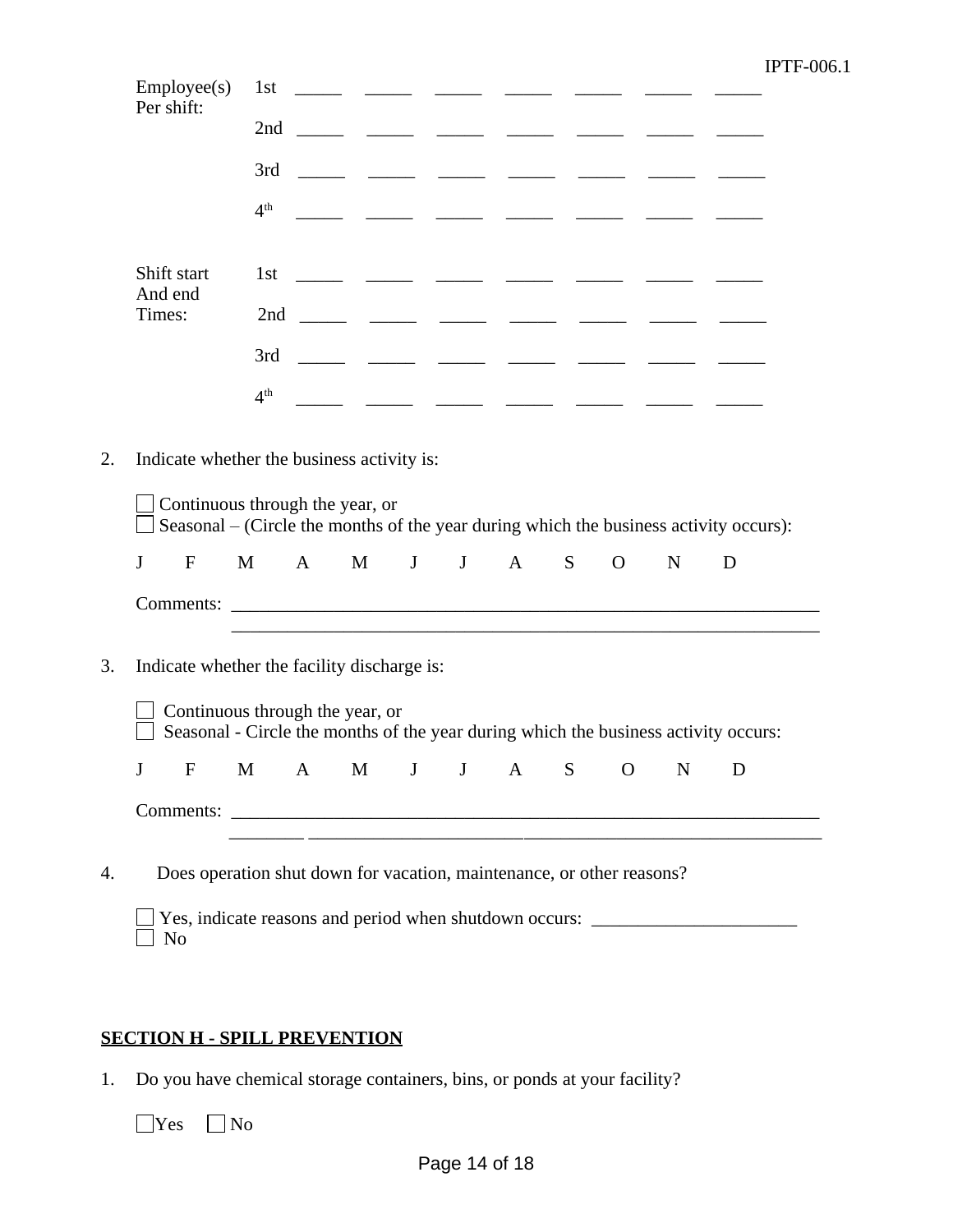| Employee(s)<br>Per shift:                                                                                              | 1st             |     |   |   | $\overline{\phantom{a}}$ |   |              |           |                                                                                                                        |
|------------------------------------------------------------------------------------------------------------------------|-----------------|-----|---|---|--------------------------|---|--------------|-----------|------------------------------------------------------------------------------------------------------------------------|
|                                                                                                                        | 2nd             |     |   |   |                          |   |              |           |                                                                                                                        |
|                                                                                                                        | 3rd             |     |   |   |                          |   |              |           |                                                                                                                        |
|                                                                                                                        | 4 <sup>th</sup> |     |   |   |                          |   |              |           | المستدر المستدر المستدر المستدر المستدر                                                                                |
| Shift start                                                                                                            |                 |     |   |   |                          |   |              |           |                                                                                                                        |
| And end                                                                                                                |                 |     |   |   |                          |   |              |           |                                                                                                                        |
| Times:                                                                                                                 |                 |     |   |   |                          |   |              |           |                                                                                                                        |
|                                                                                                                        | 3rd             |     |   |   |                          |   |              |           | المستندر المستندر المستندر المستندر المستندر المستندر                                                                  |
|                                                                                                                        | 4 <sup>th</sup> |     |   |   |                          |   |              |           |                                                                                                                        |
| J<br>$\mathbf F$                                                                                                       | M               | A M | J | J | A                        | S | $\mathbf{O}$ | ${\bf N}$ | Seasonal – (Circle the months of the year during which the business activity occurs):<br>D                             |
|                                                                                                                        |                 |     |   |   |                          |   |              |           |                                                                                                                        |
| Indicate whether the facility discharge is:                                                                            |                 |     |   |   |                          |   |              |           |                                                                                                                        |
| Continuous through the year, or<br>Seasonal - Circle the months of the year during which the business activity occurs: |                 |     |   |   |                          |   |              |           |                                                                                                                        |
| F M A M J J A S O N D<br>$\mathbf{I}$                                                                                  |                 |     |   |   |                          |   |              |           |                                                                                                                        |
|                                                                                                                        |                 |     |   |   |                          |   |              |           | <u> 1988 - An Dùbhlachd ann an Dùbhlachd ann an Dùbhlachd ann an Dùbhlachd ann an Dùbhlachd ann an Dùbhlachd ann a</u> |
| Does operation shut down for vacation, maintenance, or other reasons?                                                  |                 |     |   |   |                          |   |              |           |                                                                                                                        |
|                                                                                                                        |                 |     |   |   |                          |   |              |           |                                                                                                                        |

# **SECTION H - SPILL PREVENTION**

1. Do you have chemical storage containers, bins, or ponds at your facility?

 $\square \text{Yes} \quad \square \text{No}$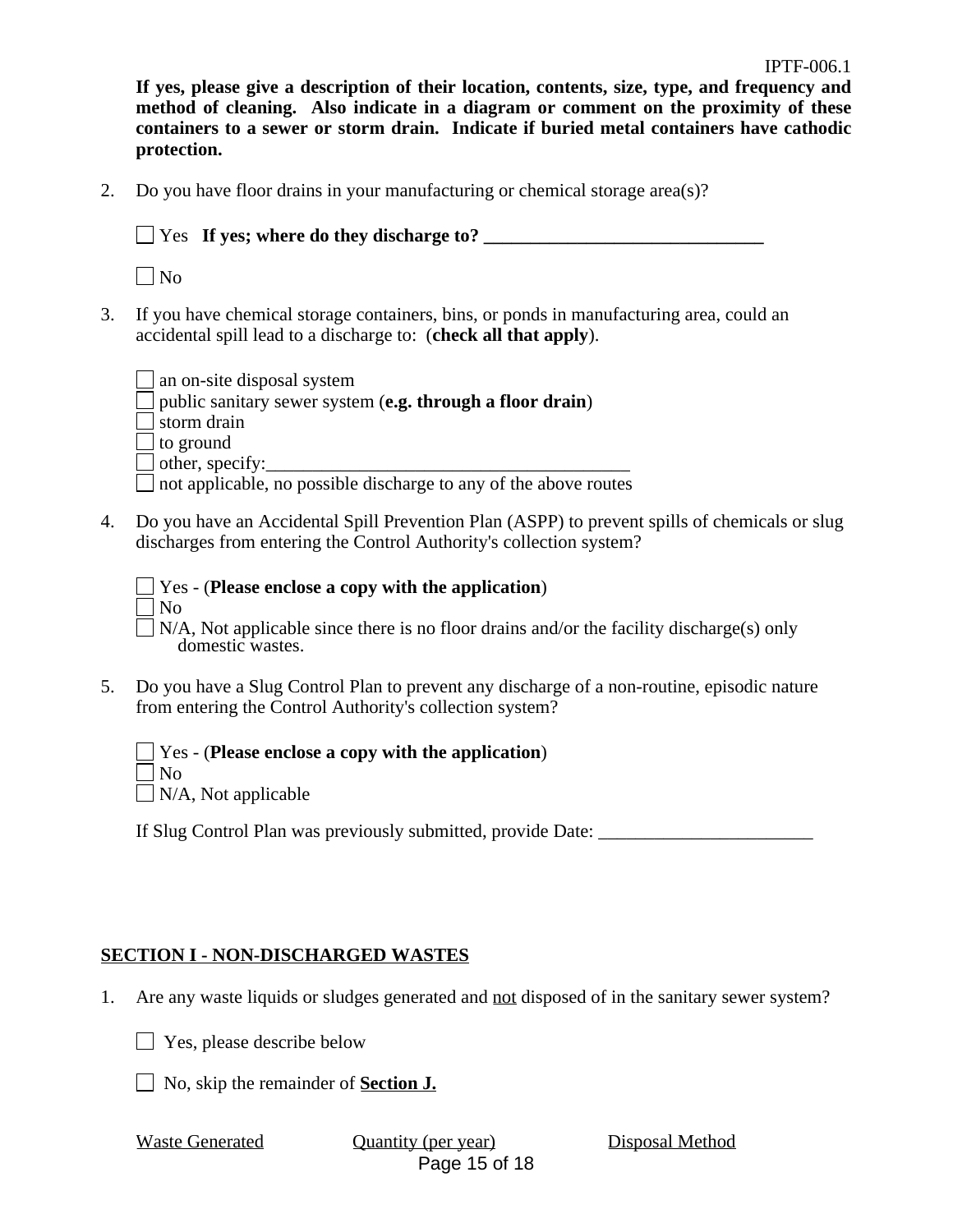**If yes, please give a description of their location, contents, size, type, and frequency and method of cleaning. Also indicate in a diagram or comment on the proximity of these containers to a sewer or storm drain. Indicate if buried metal containers have cathodic protection.**

2. Do you have floor drains in your manufacturing or chemical storage area(s)?

Yes **If yes; where do they discharge to? \_\_\_\_\_\_\_\_\_\_\_\_\_\_\_\_\_\_\_\_\_\_\_\_\_\_\_\_\_\_**

 $\Box$ No

3. If you have chemical storage containers, bins, or ponds in manufacturing area, could an accidental spill lead to a discharge to: (**check all that apply**).

| $\Box$ an on-site disposal system                                       |
|-------------------------------------------------------------------------|
| $\Box$ public sanitary sewer system (e.g. through a floor drain)        |
| $\Box$ storm drain                                                      |
| $\Box$ to ground                                                        |
| $\Box$ other, specify:                                                  |
| $\Box$ not applicable, no possible discharge to any of the above routes |

- 4. Do you have an Accidental Spill Prevention Plan (ASPP) to prevent spills of chemicals or slug discharges from entering the Control Authority's collection system?
	- Yes (**Please enclose a copy with the application**) No

 $\Box$  N/A, Not applicable since there is no floor drains and/or the facility discharge(s) only domestic wastes.

5. Do you have a Slug Control Plan to prevent any discharge of a non-routine, episodic nature from entering the Control Authority's collection system?

Yes - (**Please enclose a copy with the application**)  $\Box$ No

 $\Box$  N/A, Not applicable

If Slug Control Plan was previously submitted, provide Date: \_\_\_\_\_\_\_\_\_\_\_\_\_\_\_\_\_\_\_

## **SECTION I - NON-DISCHARGED WASTES**

- 1. Are any waste liquids or sludges generated and not disposed of in the sanitary sewer system?
	- **T** Yes, please describe below
	- No, skip the remainder of **Section J.**

Page 15 of 18 Waste Generated **Quantity (per year)** Disposal Method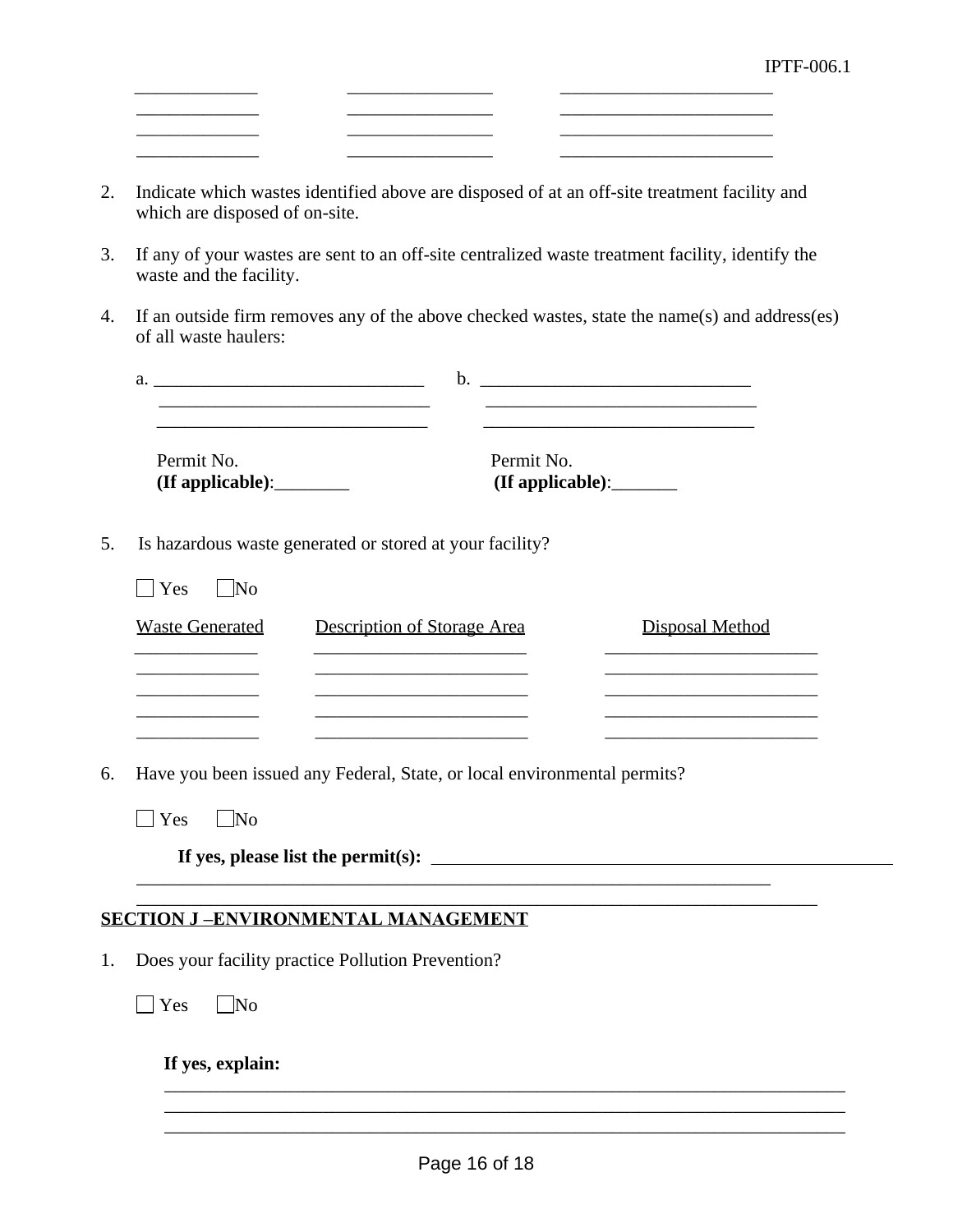2. Indicate which wastes identified above are disposed of at an off-site treatment facility and which are disposed of on-site.

\_\_\_\_\_\_\_\_\_\_\_ \_\_\_\_\_\_\_\_\_\_\_\_\_ \_\_\_\_\_\_\_\_\_\_\_\_\_\_\_\_\_\_\_

\_\_\_\_\_\_\_\_\_\_\_ \_\_\_\_\_\_\_\_\_\_\_\_\_ \_\_\_\_\_\_\_\_\_\_\_\_\_\_\_\_\_\_\_

 $\frac{1}{\sqrt{2}}$  ,  $\frac{1}{\sqrt{2}}$  ,  $\frac{1}{\sqrt{2}}$  ,  $\frac{1}{\sqrt{2}}$  ,  $\frac{1}{\sqrt{2}}$  ,  $\frac{1}{\sqrt{2}}$  ,  $\frac{1}{\sqrt{2}}$  ,  $\frac{1}{\sqrt{2}}$  ,  $\frac{1}{\sqrt{2}}$  ,  $\frac{1}{\sqrt{2}}$  ,  $\frac{1}{\sqrt{2}}$  ,  $\frac{1}{\sqrt{2}}$  ,  $\frac{1}{\sqrt{2}}$  ,  $\frac{1}{\sqrt{2}}$  ,  $\frac{1}{\sqrt{2}}$ 

 $\frac{1}{\sqrt{2}}$  ,  $\frac{1}{\sqrt{2}}$  ,  $\frac{1}{\sqrt{2}}$  ,  $\frac{1}{\sqrt{2}}$  ,  $\frac{1}{\sqrt{2}}$  ,  $\frac{1}{\sqrt{2}}$  ,  $\frac{1}{\sqrt{2}}$  ,  $\frac{1}{\sqrt{2}}$  ,  $\frac{1}{\sqrt{2}}$  ,  $\frac{1}{\sqrt{2}}$  ,  $\frac{1}{\sqrt{2}}$  ,  $\frac{1}{\sqrt{2}}$  ,  $\frac{1}{\sqrt{2}}$  ,  $\frac{1}{\sqrt{2}}$  ,  $\frac{1}{\sqrt{2}}$ 

- 3. If any of your wastes are sent to an off-site centralized waste treatment facility, identify the waste and the facility.
- 4. If an outside firm removes any of the above checked wastes, state the name(s) and address(es) of all waste haulers:

|    | a.<br><u> 1990 - Johann Harry Harry Harry Harry Harry Harry Harry Harry Harry Harry Harry Harry Harry Harry Harry Harry</u> | $\mathbf b$ .                                            | <u> 1980 - Jan Barbarat, martin da shekara tshirilgan tshirilgan ma'lumot</u> |
|----|-----------------------------------------------------------------------------------------------------------------------------|----------------------------------------------------------|-------------------------------------------------------------------------------|
|    | Permit No.                                                                                                                  | Permit No.                                               |                                                                               |
| 5. |                                                                                                                             | Is hazardous waste generated or stored at your facility? |                                                                               |
|    | Yes<br>$\overline{\rm No}$                                                                                                  |                                                          |                                                                               |
|    | <b>Waste Generated</b>                                                                                                      | Description of Storage Area                              | Disposal Method                                                               |
|    |                                                                                                                             |                                                          |                                                                               |
|    |                                                                                                                             |                                                          |                                                                               |
|    |                                                                                                                             |                                                          |                                                                               |

- 6. Have you been issued any Federal, State, or local environmental permits?
	- $\Box$  Yes  $\Box$  No

**If yes, please list the permit(s):**

# **SECTION J -ENVIRONMENTAL MANAGEMENT**

1. Does your facility practice Pollution Prevention?

**If yes, explain:**

\_\_\_\_\_\_\_\_\_\_\_\_\_\_\_\_\_\_\_\_\_\_\_\_\_\_\_\_\_\_\_\_\_\_\_\_\_\_\_\_\_\_\_\_\_\_\_\_\_\_\_\_\_\_\_\_\_\_\_\_\_\_\_\_\_\_\_\_\_\_\_\_\_ \_\_\_\_\_\_\_\_\_\_\_\_\_\_\_\_\_\_\_\_\_\_\_\_\_\_\_\_\_\_\_\_\_\_\_\_\_\_\_\_\_\_\_\_\_\_\_\_\_\_\_\_\_\_\_\_\_\_\_\_\_\_\_\_\_\_\_\_\_\_\_\_\_ \_\_\_\_\_\_\_\_\_\_\_\_\_\_\_\_\_\_\_\_\_\_\_\_\_\_\_\_\_\_\_\_\_\_\_\_\_\_\_\_\_\_\_\_\_\_\_\_\_\_\_\_\_\_\_\_\_\_\_\_\_\_\_\_\_\_\_\_\_\_\_\_\_

 $\mathcal{L}_\text{max} = \mathcal{L}_\text{max} = \mathcal{L}_\text{max} = \mathcal{L}_\text{max} = \mathcal{L}_\text{max} = \mathcal{L}_\text{max} = \mathcal{L}_\text{max} = \mathcal{L}_\text{max} = \mathcal{L}_\text{max} = \mathcal{L}_\text{max} = \mathcal{L}_\text{max} = \mathcal{L}_\text{max} = \mathcal{L}_\text{max} = \mathcal{L}_\text{max} = \mathcal{L}_\text{max} = \mathcal{L}_\text{max} = \mathcal{L}_\text{max} = \mathcal{L}_\text{max} = \mathcal{$ 

\_\_\_\_\_\_\_\_\_\_\_\_\_\_\_\_\_\_\_\_\_\_\_\_\_\_\_\_\_\_\_\_\_\_\_\_\_\_\_\_\_\_\_\_\_\_\_\_\_\_\_\_\_\_\_\_\_\_\_\_\_\_\_\_\_\_\_\_\_\_\_\_\_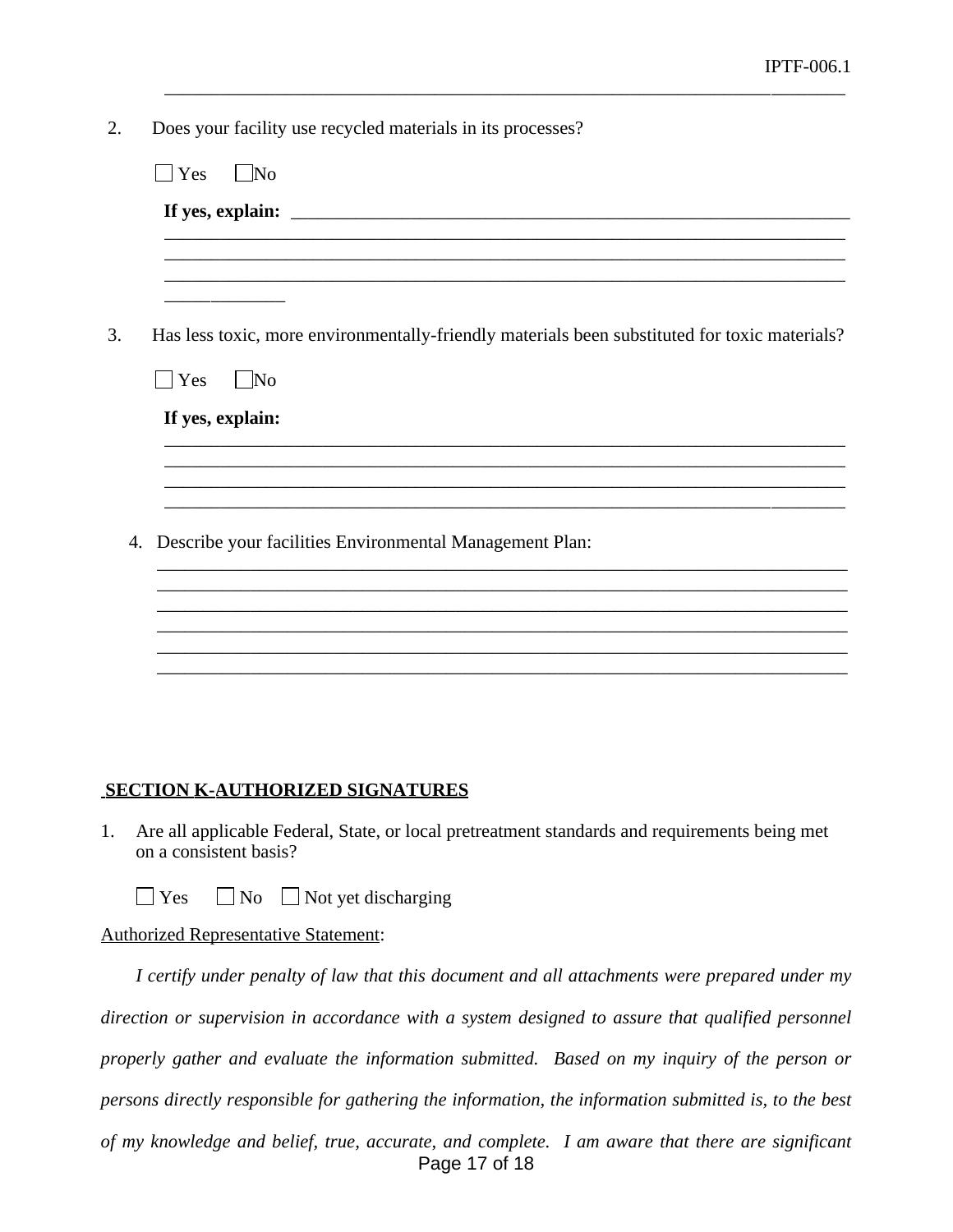2. Does your facility use recycled materials in its processes?

|    | Yes<br>$\vert$ No                                                                             |
|----|-----------------------------------------------------------------------------------------------|
|    |                                                                                               |
|    |                                                                                               |
|    |                                                                                               |
| 3. | Has less toxic, more environmentally-friendly materials been substituted for toxic materials? |
|    | $\Box$ Yes<br>$\blacksquare$ No                                                               |
|    | If yes, explain:                                                                              |
|    |                                                                                               |
|    |                                                                                               |
| 4. | Describe your facilities Environmental Management Plan:                                       |
|    |                                                                                               |
|    |                                                                                               |
|    |                                                                                               |
|    |                                                                                               |

\_\_\_\_\_\_\_\_\_\_\_\_\_\_\_\_\_\_\_\_\_\_\_\_\_\_\_\_\_\_\_\_\_\_\_\_\_\_\_\_\_\_\_\_\_\_\_\_\_\_\_\_\_\_\_\_\_\_\_\_\_\_\_\_\_\_\_\_\_\_\_\_\_

#### **SECTION K-AUTHORIZED SIGNATURES**

- 1. Are all applicable Federal, State, or local pretreatment standards and requirements being met on a consistent basis?
	- $\Box$  Yes  $\Box$  No  $\Box$  Not yet discharging

#### Authorized Representative Statement:

Page 17 of 18 *I certify under penalty of law that this document and all attachments were prepared under my direction or supervision in accordance with a system designed to assure that qualified personnel properly gather and evaluate the information submitted. Based on my inquiry of the person or persons directly responsible for gathering the information, the information submitted is, to the best of my knowledge and belief, true, accurate, and complete. I am aware that there are significant*